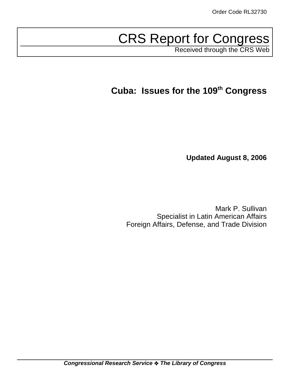# CRS Report for Congress

Received through the CRS Web

# **Cuba: Issues for the 109th Congress**

**Updated August 8, 2006**

Mark P. Sullivan Specialist in Latin American Affairs Foreign Affairs, Defense, and Trade Division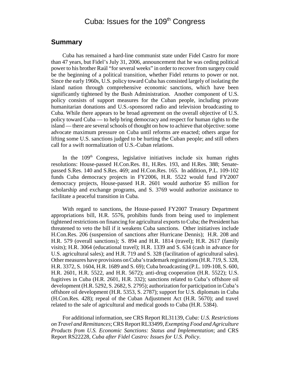# Cuba: Issues for the 109<sup>th</sup> Congress

## **Summary**

Cuba has remained a hard-line communist state under Fidel Castro for more than 47 years, but Fidel's July 31, 2006, announcement that he was ceding political power to his brother Raúl "for several weeks" in order to recover from surgery could be the beginning of a political transition, whether Fidel returns to power or not. Since the early 1960s, U.S. policy toward Cuba has consisted largely of isolating the island nation through comprehensive economic sanctions, which have been significantly tightened by the Bush Administration. Another component of U.S. policy consists of support measures for the Cuban people, including private humanitarian donations and U.S.-sponsored radio and television broadcasting to Cuba. While there appears to be broad agreement on the overall objective of U.S. policy toward Cuba — to help bring democracy and respect for human rights to the island — there are several schools of thought on how to achieve that objective: some advocate maximum pressure on Cuba until reforms are enacted; others argue for lifting some U.S. sanctions judged to be hurting the Cuban people; and still others call for a swift normalization of U.S.-Cuban relations.

In the  $109<sup>th</sup>$  Congress, legislative initiatives include six human rights resolutions: House-passed H.Con.Res. 81, H.Res. 193, and H.Res. 388; Senatepassed S.Res. 140 and S.Res. 469; and H.Con.Res. 165. In addition, P.L. 109-102 funds Cuba democracy projects in FY2006, H.R. 5522 would fund FY2007 democracy projects, House-passed H.R. 2601 would authorize \$5 million for scholarship and exchange programs, and S. 3769 would authorize assistance to facilitate a peaceful transition in Cuba.

With regard to sanctions, the House-passed FY2007 Treasury Department appropriations bill, H.R. 5576, prohibits funds from being used to implement tightened restrictions on financing for agricultural exports to Cuba; the President has threatened to veto the bill if it weakens Cuba sanctions. Other initiatives include H.Con.Res. 206 (suspension of sanctions after Hurricane Dennis); H.R. 208 and H.R. 579 (overall sanctions); S. 894 and H.R. 1814 (travel); H.R. 2617 (family visits); H.R. 3064 (educational travel); H.R. 1339 and S. 634 (cash in advance for U.S. agricultural sales); and H.R. 719 and S. 328 (facilitation of agricultural sales). Other measures have provisions on Cuba's trademark registrations (H.R. 719, S. 328, H.R. 3372, S. 1604, H.R. 1689 and S. 69); Cuba broadcasting (P.L. 109-108, S. 600, H.R. 2601, H.R. 5522, and H.R. 5672); anti-drug cooperation (H.R. 5522); U.S. fugitives in Cuba (H.R. 2601, H.R. 332); sanctions related to Cuba's offshore oil development (H.R. 5292, S. 2682, S. 2795); authorization for participation in Cuba's offshore oil development (H.R. 5353, S. 2787); support for U.S. diplomats in Cuba (H.Con.Res. 428); repeal of the Cuban Adjustment Act (H.R. 5670); and travel related to the sale of agricultural and medical goods to Cuba (H.R. 5384).

For additional information, see CRS Report RL31139, *Cuba: U.S. Restrictions on Travel and Remittances*; CRS Report RL33499, *Exempting Food and Agriculture Products from U.S. Economic Sanctions: Status and Implementation*; and CRS Report RS22228, *Cuba after Fidel Castro: Issues for U.S. Policy*.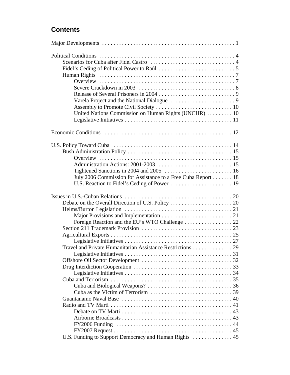# **Contents**

| United Nations Commission on Human Rights (UNCHR)  10        |  |
|--------------------------------------------------------------|--|
|                                                              |  |
|                                                              |  |
|                                                              |  |
|                                                              |  |
|                                                              |  |
|                                                              |  |
|                                                              |  |
|                                                              |  |
| July 2006 Commission for Assistance to a Free Cuba Report 18 |  |
|                                                              |  |
|                                                              |  |
|                                                              |  |
|                                                              |  |
|                                                              |  |
| Foreign Reaction and the EU's WTO Challenge 22               |  |
|                                                              |  |
|                                                              |  |
|                                                              |  |
|                                                              |  |
|                                                              |  |
|                                                              |  |
|                                                              |  |
|                                                              |  |
|                                                              |  |
|                                                              |  |
|                                                              |  |
|                                                              |  |
|                                                              |  |
|                                                              |  |
|                                                              |  |
|                                                              |  |
|                                                              |  |
| U.S. Funding to Support Democracy and Human Rights  45       |  |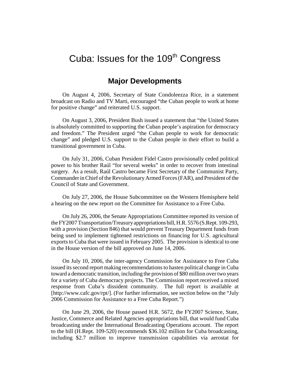# Cuba: Issues for the  $109<sup>th</sup>$  Congress

## **Major Developments**

On August 4, 2006, Secretary of State Condoleezza Rice, in a statement broadcast on Radio and TV Marti, encouraged "the Cuban people to work at home for positive change" and reiterated U.S. support.

On August 3, 2006, President Bush issued a statement that "the United States is absolutely committed to supporting the Cuban people's aspiration for democracy and freedom." The President urged "the Cuban people to work for democratic change" and pledged U.S. support to the Cuban people in their effort to build a transitional government in Cuba.

On July 31, 2006, Cuban President Fidel Castro provisionally ceded political power to his brother Raúl "for several weeks" in order to recover from intestinal surgery. As a result, Raúl Castro became First Secretary of the Communist Party, Commander in Chief of the Revolutionary Armed Forces (FAR), and President of the Council of State and Government.

On July 27, 2006, the House Subcommittee on the Western Hemisphere held a hearing on the new report on the Committee for Assistance to a Free Cuba.

On July 26, 2006, the Senate Appropriations Committee reported its version of the FY2007 Transportation/Treasury appropriations bill, H.R. 5576 (S.Rept. 109-293, with a provision (Section 846) that would prevent Treasury Department funds from being used to implement tightened restrictions on financing for U.S. agricultural exports to Cuba that were issued in February 2005. The provision is identical to one in the House version of the bill approved on June 14, 2006.

On July 10, 2006, the inter-agency Commission for Assistance to Free Cuba issued its second report making recommendations to hasten political change in Cuba toward a democratic transition, including the provision of \$80 million over two years for a variety of Cuba democracy projects. The Commission report received a mixed response from Cuba's dissident community. The full report is available at [http://www.cafc.gov/rpt/]. (For further information, see section below on the "July 2006 Commission for Assistance to a Free Cuba Report.")

On June 29, 2006, the House passed H.R. 5672, the FY2007 Science, State, Justice, Commerce and Related Agencies appropriations bill, that would fund Cuba broadcasting under the International Broadcasting Operations account. The report to the bill (H.Rept. 109-520) recommends \$36.102 million for Cuba broadcasting, including \$2.7 million to improve transmission capabilities via aerostat for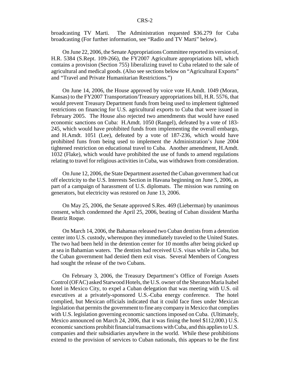broadcasting TV Marti. The Administration requested \$36.279 for Cuba broadcasting (For further information, see "Radio and TV Marti" below).

On June 22, 2006, the Senate Appropriations Committee reported its version of, H.R. 5384 (S.Rept. 109-266), the FY2007 Agriculture appropriations bill, which contains a provision (Section 755) liberalizing travel to Cuba related to the sale of agricultural and medical goods. (Also see sections below on "Agricultural Exports" and "Travel and Private Humanitarian Restrictions.")

On June 14, 2006, the House approved by voice vote H.Amdt. 1049 (Moran, Kansas) to the FY2007 Transportation/Treasury appropriations bill, H.R. 5576, that would prevent Treasury Department funds from being used to implement tightened restrictions on financing for U.S. agricultural exports to Cuba that were issued in February 2005. The House also rejected two amendments that would have eased economic sanctions on Cuba: H.Amdt. 1050 (Rangel), defeated by a vote of 183- 245, which would have prohibited funds from implementing the overall embargo, and H.Amdt. 1051 (Lee), defeated by a vote of 187-236, which would have prohibited funs from being used to implement the Administration's June 2004 tightened restriction on educational travel to Cuba. Another amendment, H.Amdt. 1032 (Flake), which would have prohibited the use of funds to amend regulations relating to travel for religious activities in Cuba, was withdrawn from consideration.

On June 12, 2006, the State Department asserted the Cuban government had cut off electricity to the U.S. Interests Section in Havana beginning on June 5, 2006, as part of a campaign of harassment of U.S. diplomats. The mission was running on generators, but electricity was restored on June 13, 2006.

On May 25, 2006, the Senate approved S.Res. 469 (Lieberman) by unanimous consent, which condemned the April 25, 2006, beating of Cuban dissident Martha Beatriz Roque.

On March 14, 2006, the Bahamas released two Cuban dentists from a detention center into U.S. custody, whereupon they immediately traveled to the United States. The two had been held in the detention center for 10 months after being picked up at sea in Bahamian waters. The dentists had received U.S. visas while in Cuba, but the Cuban government had denied them exit visas. Several Members of Congress had sought the release of the two Cubans.

On February 3, 2006, the Treasury Department's Office of Foreign Assets Control (OFAC) asked Starwood Hotels, the U.S. owner of the Sheraton Maria Isabel hotel in Mexico City, to expel a Cuban delegation that was meeting with U.S. oil executives at a privately-sponsored U.S.-Cuba energy conference. The hotel complied, but Mexican officials indicated that it could face fines under Mexican legislation that permits the government to fine any company in Mexico that complies with U.S. legislation governing economic sanctions imposed on Cuba. (Ultimately, Mexico announced on March 24, 2006, that it was fining the hotel \$112,000.) U.S. economic sanctions prohibit financial transactions with Cuba, and this applies to U.S. companies and their subsidiaries anywhere in the world. While these prohibitions extend to the provision of services to Cuban nationals, this appears to be the first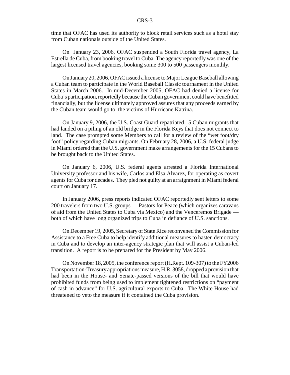time that OFAC has used its authority to block retail services such as a hotel stay from Cuban nationals outside of the United States.

On January 23, 2006, OFAC suspended a South Florida travel agency, La Estrella de Cuba, from booking travel to Cuba. The agency reportedly was one of the largest licensed travel agencies, booking some 300 to 500 passengers monthly.

On January 20, 2006, OFAC issued a license to Major League Baseball allowing a Cuban team to participate in the World Baseball Classic tournament in the United States in March 2006. In mid-December 2005, OFAC had denied a license for Cuba's participation, reportedly because the Cuban government could have benefitted financially, but the license ultimately approved assures that any proceeds earned by the Cuban team would go to the victims of Hurricane Katrina.

On January 9, 2006, the U.S. Coast Guard repatriated 15 Cuban migrants that had landed on a piling of an old bridge in the Florida Keys that does not connect to land. The case prompted some Members to call for a review of the "wet foot/dry foot" policy regarding Cuban migrants. On February 28, 2006, a U.S. federal judge in Miami ordered that the U.S. government make arrangements for the 15 Cubans to be brought back to the United States.

On January 6, 2006, U.S. federal agents arrested a Florida International University professor and his wife, Carlos and Elsa Alvarez, for operating as covert agents for Cuba for decades. They pled not guilty at an arraignment in Miami federal court on January 17.

In January 2006, press reports indicated OFAC reportedly sent letters to some 200 travelers from two U.S. groups — Pastors for Peace (which organizes caravans of aid from the United States to Cuba via Mexico) and the Venceremos Brigade both of which have long organized trips to Cuba in defiance of U.S. sanctions.

On December 19, 2005, Secretary of State Rice reconvened the Commission for Assistance to a Free Cuba to help identify additional measures to hasten democracy in Cuba and to develop an inter-agency strategic plan that will assist a Cuban-led transition. A report is to be prepared for the President by May 2006.

On November 18, 2005, the conference report (H.Rept. 109-307) to the FY2006 Transportation-Treasury appropriations measure, H.R. 3058, dropped a provision that had been in the House- and Senate-passed versions of the bill that would have prohibited funds from being used to implement tightened restrictions on "payment of cash in advance" for U.S. agricultural exports to Cuba. The White House had threatened to veto the measure if it contained the Cuba provision.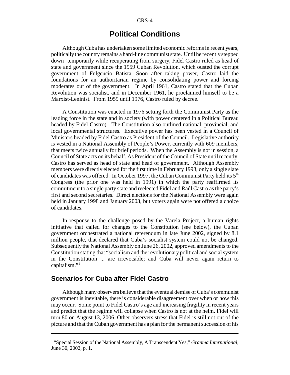# **Political Conditions**

Although Cuba has undertaken some limited economic reforms in recent years, politically the country remains a hard-line communist state. Until he recently stepped down temporarily while recuperating from surgery, Fidel Castro ruled as head of state and government since the 1959 Cuban Revolution, which ousted the corrupt government of Fulgencio Batista. Soon after taking power, Castro laid the foundations for an authoritarian regime by consolidating power and forcing moderates out of the government. In April 1961, Castro stated that the Cuban Revolution was socialist, and in December 1961, he proclaimed himself to be a Marxist-Leninist. From 1959 until 1976, Castro ruled by decree.

A Constitution was enacted in 1976 setting forth the Communist Party as the leading force in the state and in society (with power centered in a Political Bureau headed by Fidel Castro). The Constitution also outlined national, provincial, and local governmental structures. Executive power has been vested in a Council of Ministers headed by Fidel Castro as President of the Council. Legislative authority is vested in a National Assembly of People's Power, currently with 609 members, that meets twice annually for brief periods. When the Assembly is not in session, a Council of State acts on its behalf. As President of the Council of State until recently, Castro has served as head of state and head of government. Although Assembly members were directly elected for the first time in February 1993, only a single slate of candidates was offered. In October 1997, the Cuban Communist Party held its  $5<sup>th</sup>$ Congress (the prior one was held in 1991) in which the party reaffirmed its commitment to a single party state and reelected Fidel and Raúl Castro as the party's first and second secretaries. Direct elections for the National Assembly were again held in January 1998 and January 2003, but voters again were not offered a choice of candidates.

In response to the challenge posed by the Varela Project, a human rights initiative that called for changes to the Constitution (see below), the Cuban government orchestrated a national referendum in late June 2002, signed by 8.1 million people, that declared that Cuba's socialist system could not be changed. Subsequently the National Assembly on June 26, 2002, approved amendments to the Constitution stating that "socialism and the revolutionary political and social system in the Constitution ... are irrevocable; and Cuba will never again return to capitalism."1

## **Scenarios for Cuba after Fidel Castro**

Although many observers believe that the eventual demise of Cuba's communist government is inevitable, there is considerable disagreement over when or how this may occur. Some point to Fidel Castro's age and increasing fragility in recent years and predict that the regime will collapse when Castro is not at the helm. Fidel will turn 80 on August 13, 2006. Other observers stress that Fidel is still not out of the picture and that the Cuban government has a plan for the permanent succession of his

<sup>&</sup>lt;sup>1</sup> "Special Session of the National Assembly, A Transcendent Yes," *Granma International*, June 30, 2002, p. 1.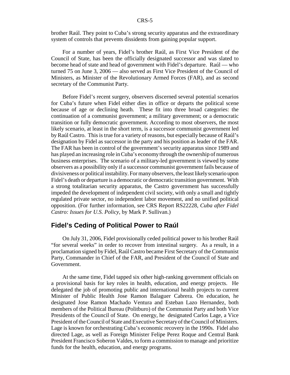brother Raúl. They point to Cuba's strong security apparatus and the extraordinary system of controls that prevents dissidents from gaining popular support.

For a number of years, Fidel's brother Raúl, as First Vice President of the Council of State, has been the officially designated successor and was slated to become head of state and head of government with Fidel's departure. Raúl — who turned 75 on June 3, 2006 — also served as First Vice President of the Council of Ministers, as Minister of the Revolutionary Armed Forces (FAR), and as second secretary of the Communist Party.

Before Fidel's recent surgery, observers discerned several potential scenarios for Cuba's future when Fidel either dies in office or departs the political scene because of age or declining heath. These fit into three broad categories: the continuation of a communist government; a military government; or a democratic transition or fully democratic government. According to most observers, the most likely scenario, at least in the short term, is a successor communist government led by Raúl Castro. This is true for a variety of reasons, but especially because of Raúl's designation by Fidel as successor in the party and his position as leader of the FAR. The FAR has been in control of the government's security apparatus since 1989 and has played an increasing role in Cuba's economy through the ownership of numerous business enterprises. The scenario of a military-led government is viewed by some observers as a possibility only if a successor communist government fails because of divisiveness or political instability. For many observers, the least likely scenario upon Fidel's death or departure is a democratic or democratic transition government. With a strong totalitarian security apparatus, the Castro government has successfully impeded the development of independent civil society, with only a small and tightly regulated private sector, no independent labor movement, and no unified political opposition. (For further information, see CRS Report RS22228, *Cuba after Fidel Castro: Issues for U.S. Policy*, by Mark P. Sullivan.)

## **Fidel's Ceding of Political Power to Raúl**

On July 31, 2006, Fidel provisionally ceded political power to his brother Raúl "for several weeks" in order to recover from intestinal surgery. As a result, in a proclamation signed by Fidel, Raúl Castro became First Secretary of the Communist Party, Commander in Chief of the FAR, and President of the Council of State and Government.

At the same time, Fidel tapped six other high-ranking government officials on a provisional basis for key roles in health, education, and energy projects. He delegated the job of promoting public and international health projects to current Minister of Public Health Jose Ramon Balaguer Cabrera. On education, he designated Jose Ramon Machado Ventura and Esteban Lazo Hernandez, both members of the Political Bureau (Politburo) of the Communist Party and both Vice Presidents of the Council of State. On energy, he designated Carlos Lage, a Vice President of the Council of State and Executive Secretary of the Council of Ministers. Lage is known for orchestrating Cuba's economic recovery in the 1990s. Fidel also directed Lage, as well as Foreign Minister Felipe Perez Roque and Central Bank President Francisco Soberon Valdes, to form a commission to manage and prioritize funds for the health, education, and energy programs.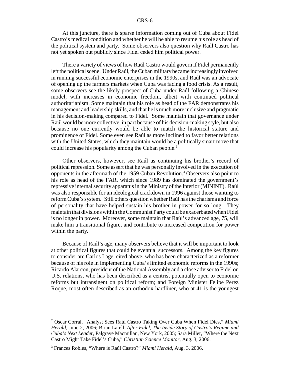At this juncture, there is sparse information coming out of Cuba about Fidel Castro's medical condition and whether he will be able to resume his role as head of the political system and party. Some observers also question why Raúl Castro has not yet spoken out publicly since Fidel ceded him political power.

There a variety of views of how Raúl Castro would govern if Fidel permanently left the political scene. Under Raúl, the Cuban military became increasingly involved in running successful economic enterprises in the 1990s, and Raúl was an advocate of opening up the farmers markets when Cuba was facing a food crisis. As a result, some observers see the likely prospect of Cuba under Raúl following a Chinese model, with increases in economic freedom, albeit with continued political authoritarianism. Some maintain that his role as head of the FAR demonstrates his management and leadership skills, and that he is much more inclusive and pragmatic in his decision-making compared to Fidel. Some maintain that governance under Raúl would be more collective, in part because of his decision-making style, but also because no one currently would be able to match the historical stature and prominence of Fidel. Some even see Raúl as more inclined to favor better relations with the United States, which they maintain would be a politically smart move that could increase his popularity among the Cuban people.<sup>2</sup>

Other observers, however, see Raúl as continuing his brother's record of political repression. Some assert that he was personally involved in the execution of opponents in the aftermath of the 1959 Cuban Revolution.<sup>3</sup> Observers also point to his role as head of the FAR, which since 1989 has dominated the government's repressive internal security apparatus in the Ministry of the Interior (MININT). Raúl was also responsible for an ideological crackdown in 1996 against those wanting to reform Cuba's system. Still others question whether Raúl has the charisma and force of personality that have helped sustain his brother in power for so long. They maintain that divisions within the Communist Party could be exacerbated when Fidel is no longer in power. Moreover, some maintain that Raúl's advanced age, 75, will make him a transitional figure, and contribute to increased competition for power within the party.

Because of Raúl's age, many observers believe that it will be important to look at other political figures that could be eventual successors. Among the key figures to consider are Carlos Lage, cited above, who has been characterized as a reformer because of his role in implementing Cuba's limited economic reforms in the 1990s; Ricardo Alarcon, president of the National Assembly and a close adviser to Fidel on U.S. relations, who has been described as a centrist potentially open to economic reforms but intransigent on political reform; and Foreign Minister Felipe Perez Roque, most often described as an orthodox hardliner, who at 41 is the youngest

<sup>2</sup> Oscar Corral, "Analyst Sees Raúl Castro Taking Over Cuba When Fidel Dies," *Miami Herald*, June 2, 2006; Brian Latell, *After Fidel, The Inside Story of Castro's Regime and Cuba's Next Leader,* Palgrave Macmillan, New York, 2005; Sara Miller, "Where the Next Castro Might Take Fidel's Cuba," *Christian Science Monitor*, Aug. 3, 2006.

<sup>3</sup> Frances Robles, "Where is Raúl Castro?" *Miami Herald*, Aug. 3, 2006.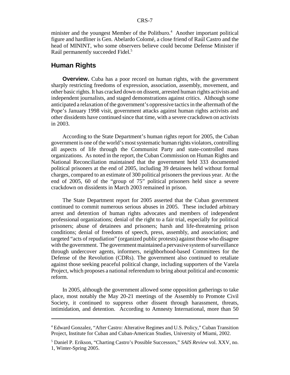minister and the youngest Member of the Politburo.<sup>4</sup> Another important political figure and hardliner is Gen. Abelardo Colomé, a close friend of Raúl Castro and the head of MININT, who some observers believe could become Defense Minister if Raúl permanently succeeded Fidel.<sup>5</sup>

## **Human Rights**

**Overview.** Cuba has a poor record on human rights, with the government sharply restricting freedoms of expression, association, assembly, movement, and other basic rights. It has cracked down on dissent, arrested human rights activists and independent journalists, and staged demonstrations against critics. Although some anticipated a relaxation of the government's oppressive tactics in the aftermath of the Pope's January 1998 visit, government attacks against human rights activists and other dissidents have continued since that time, with a severe crackdown on activists in 2003.

According to the State Department's human rights report for 2005, the Cuban government is one of the world's most systematic human rights violators, controlling all aspects of life through the Communist Party and state-controlled mass organizations. As noted in the report, the Cuban Commission on Human Rights and National Reconciliation maintained that the government held 333 documented political prisoners at the end of 2005, including 39 detainees held without formal charges, compared to an estimate of 300 political prisoners the previous year. At the end of 2005, 60 of the "group of 75" political prisoners held since a severe crackdown on dissidents in March 2003 remained in prison.

The State Department report for 2005 asserted that the Cuban government continued to commit numerous serious abuses in 2005. These included arbitrary arrest and detention of human rights advocates and members of independent professional organizations; denial of the right to a fair trial, especially for political prisoners; abuse of detainees and prisoners; harsh and life-threatening prison conditions; denial of freedoms of speech, press, assembly, and association; and targeted "acts of repudiation" (organized public protests) against those who disagree with the government. The government maintained a pervasive system of surveillance through undercover agents, informers, neighborhood-based Committees for the Defense of the Revolution (CDRs). The government also continued to retaliate against those seeking peaceful political change, including supporters of the Varela Project, which proposes a national referendum to bring about political and economic reform.

In 2005, although the government allowed some opposition gatherings to take place, most notably the May 20-21 meetings of the Assembly to Promote Civil Society, it continued to suppress other dissent through harassment, threats, intimidation, and detention. According to Amnesty International, more than 50

<sup>&</sup>lt;sup>4</sup> Edward Gonzalez, "After Castro: Alterative Regimes and U.S. Policy," Cuban Transition Project, Institute for Cuban and Cuban-American Studies, University of Miami, 2002.

<sup>5</sup> Daniel P. Erikson, "Charting Castro's Possible Successors," *SAIS Review* vol. XXV, no. 1, Winter-Spring 2005.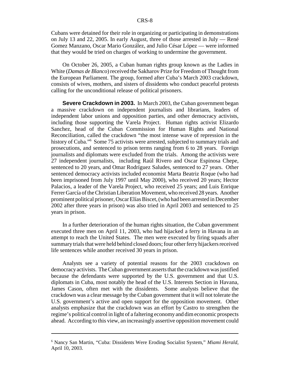Cubans were detained for their role in organizing or participating in demonstrations on July 13 and 22, 2005. In early August, three of those arrested in July — René Gomez Manzano, Oscar Mario González, and Julio César López — were informed that they would be tried on charges of working to undermine the government.

On October 26, 2005, a Cuban human rights group known as the Ladies in White (*Damas de Blanco*) received the Sakharov Prize for Freedom of Thought from the European Parliament. The group, formed after Cuba's March 2003 crackdown, consists of wives, mothers, and sisters of dissidents who conduct peaceful protests calling for the unconditional release of political prisoners.

**Severe Crackdown in 2003.** In March 2003, the Cuban government began a massive crackdown on independent journalists and librarians, leaders of independent labor unions and opposition parties, and other democracy activists, including those supporting the Varela Project. Human rights activist Elizardo Sanchez, head of the Cuban Commission for Human Rights and National Reconciliation, called the crackdown "the most intense wave of repression in the history of Cuba."6 Some 75 activists were arrested, subjected to summary trials and prosecutions, and sentenced to prison terms ranging from 6 to 28 years. Foreign journalists and diplomats were excluded from the trials. Among the activists were 27 independent journalists, including Raúl Rivero and Oscar Espinosa Chepe, sentenced to 20 years, and Omar Rodríguez Saludes, sentenced to 27 years. Other sentenced democracy activists included economist Marta Beatriz Roque (who had been imprisoned from July 1997 until May 2000), who received 20 years; Hector Palacios, a leader of the Varela Project, who received 25 years; and Luis Enrique Ferrer García of the Christian Liberation Movement, who received 28 years. Another prominent political prisoner, Oscar Elías Biscet, (who had been arrested in December 2002 after three years in prison) was also tried in April 2003 and sentenced to 25 years in prison.

In a further deterioration of the human rights situation, the Cuban government executed three men on April 11, 2003, who had hijacked a ferry in Havana in an attempt to reach the United States. The men were executed by firing squads after summary trials that were held behind closed doors; four other ferry hijackers received life sentences while another received 30 years in prison.

Analysts see a variety of potential reasons for the 2003 crackdown on democracy activists. The Cuban government asserts that the crackdown was justified because the defendants were supported by the U.S. government and that U.S. diplomats in Cuba, most notably the head of the U.S. Interests Section in Havana, James Cason, often met with the dissidents. Some analysts believe that the crackdown was a clear message by the Cuban government that it will not tolerate the U.S. government's active and open support for the opposition movement. Other analysts emphasize that the crackdown was an effort by Castro to strengthen the regime's political control in light of a faltering economy and dim economic prospects ahead. According to this view, an increasingly assertive opposition movement could

<sup>6</sup> Nancy San Martin, "Cuba: Dissidents Were Eroding Socialist System," *Miami Herald*, April 10, 2003.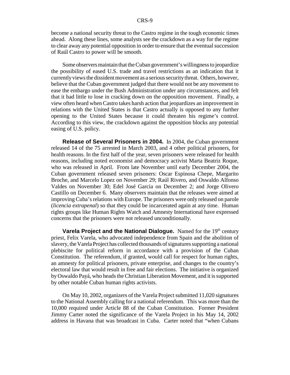become a national security threat to the Castro regime in the tough economic times ahead. Along these lines, some analysts see the crackdown as a way for the regime to clear away any potential opposition in order to ensure that the eventual succession of Raúl Castro to power will be smooth.

Some observers maintain that the Cuban government's willingness to jeopardize the possibility of eased U.S. trade and travel restrictions as an indication that it currently views the dissident movement as a serious security threat. Others, however, believe that the Cuban government judged that there would not be any movement to ease the embargo under the Bush Administration under any circumstances, and felt that it had little to lose in cracking down on the opposition movement. Finally, a view often heard when Castro takes harsh action that jeopardizes an improvement in relations with the United States is that Castro actually is opposed to any further opening to the United States because it could threaten his regime's control. According to this view, the crackdown against the opposition blocks any potential easing of U.S. policy.

**Release of Several Prisoners in 2004.** In 2004, the Cuban government released 14 of the 75 arrested in March 2003, and 4 other political prisoners, for health reasons. In the first half of the year, seven prisoners were released for health reasons, including noted economist and democracy activist Marta Beatriz Roque, who was released in April. From late November until early December 2004, the Cuban government released seven prisoners: Oscar Espinosa Chepe, Margarito Broche, and Marcelo Lopez on November 29; Raúl Rivero, and Oswaldo Alfonso Valdes on November 30; Edel José Garcia on December 2; and Jorge Olivero Castillo on December 6. Many observers maintain that the releases were aimed at improving Cuba's relations with Europe. The prisoners were only released on parole (*licencia extrapenal*) so that they could be incarcerated again at any time. Human rights groups like Human Rights Watch and Amnesty International have expressed concerns that the prisoners were not released unconditionally.

**Varela Project and the National Dialogue.** Named for the 19th century priest, Felix Varela, who advocated independence from Spain and the abolition of slavery, the Varela Project has collected thousands of signatures supporting a national plebiscite for political reform in accordance with a provision of the Cuban Constitution. The referendum, if granted, would call for respect for human rights, an amnesty for political prisoners, private enterprise, and changes to the country's electoral law that would result in free and fair elections. The initiative is organized by Oswaldo Payá, who heads the Christian Liberation Movement, and it is supported by other notable Cuban human rights activists.

On May 10, 2002, organizers of the Varela Project submitted 11,020 signatures to the National Assembly calling for a national referendum. This was more than the 10,000 required under Article 88 of the Cuban Constitution. Former President Jimmy Carter noted the significance of the Varela Project in his May 14, 2002 address in Havana that was broadcast in Cuba. Carter noted that "when Cubans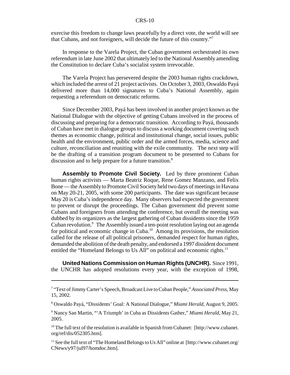exercise this freedom to change laws peacefully by a direct vote, the world will see that Cubans, and not foreigners, will decide the future of this country."7

In response to the Varela Project, the Cuban government orchestrated its own referendum in late June 2002 that ultimately led to the National Assembly amending the Constitution to declare Cuba's socialist system irrevocable.

The Varela Project has persevered despite the 2003 human rights crackdown, which included the arrest of 21 project activists. On October 3, 2003, Oswaldo Payá delivered more than 14,000 signatures to Cuba's National Assembly, again requesting a referendum on democratic reforms.

Since December 2003, Payá has been involved in another project known as the National Dialogue with the objective of getting Cubans involved in the process of discussing and preparing for a democratic transition. According to Payá, thousands of Cuban have met in dialogue groups to discuss a working document covering such themes as economic change, political and institutional change, social issues, public health and the environment, public order and the armed forces, media, science and culture, reconciliation and reuniting with the exile community. The next step will be the drafting of a transition program document to be presented to Cubans for discussion and to help prepare for a future transition.<sup>8</sup>

**Assembly to Promote Civil Society.** Led by three prominent Cuban human rights activists — Marta Beatriz Roque, Rene Gomez Manzano, and Felix Bone — the Assembly to Promote Civil Society held two days of meetings in Havana on May 20-21, 2005, with some 200 participants. The date was significant because May 20 is Cuba's independence day. Many observers had expected the government to prevent or disrupt the proceedings. The Cuban government did prevent some Cubans and foreigners from attending the conference, but overall the meeting was dubbed by its organizers as the largest gathering of Cuban dissidents since the 1959 Cuban revolution.<sup>9</sup> The Assembly issued a ten-point resolution laying out an agenda for political and economic change in Cuba.10 Among its provisions, the resolution called for the release of all political prisoners, demanded respect for human rights, demanded the abolition of the death penalty, and endorsed a 1997 dissident document entitled the "Homeland Belongs to Us All" on political and economic rights. $11$ 

**United Nations Commission on Human Rights (UNCHR).** Since 1991, the UNCHR has adopted resolutions every year, with the exception of 1998,

<sup>7</sup> "Text of Jimmy Carter's Speech, Broadcast Live to Cuban People," *Associated Press*, May 15, 2002.

<sup>8</sup> Oswaldo Payá, "Dissidents' Goal: A National Dialogue," *Miami Herald*, August 9, 2005.

<sup>9</sup> Nancy San Martin, "'A Triumph' in Cuba as Dissidents Gather," *Miami Herald*, May 21, 2005.

 $10$  The full text of the resolution is available in Spanish from Cubanet: [http://www.cubanet. org/ref/dis/052305.htm].

<sup>&</sup>lt;sup>11</sup> See the full text of "The Homeland Belongs to Us All" online at [http://www.cubanet.org/ CNews/y97/jul97/homdoc.htm].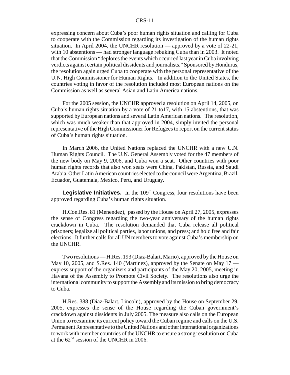expressing concern about Cuba's poor human rights situation and calling for Cuba to cooperate with the Commission regarding its investigation of the human rights situation. In April 2004, the UNCHR resolution — approved by a vote of 22-21, with 10 abstentions — had stronger language rebuking Cuba than in 2003. It noted that the Commission "deplores the events which occurred last year in Cuba involving verdicts against certain political dissidents and journalists." Sponsored by Honduras, the resolution again urged Cuba to cooperate with the personal representative of the U.N. High Commissioner for Human Rights. In addition to the United States, the countries voting in favor of the resolution included most European nations on the Commission as well as several Asian and Latin America nations.

For the 2005 session, the UNCHR approved a resolution on April 14, 2005, on Cuba's human rights situation by a vote of 21 to17, with 15 abstentions, that was supported by European nations and several Latin American nations. The resolution, which was much weaker than that approved in 2004, simply invited the personal representative of the High Commissioner for Refugees to report on the current status of Cuba's human rights situation.

In March 2006, the United Nations replaced the UNCHR with a new U.N. Human Rights Council. The U.N. General Assembly voted for the 47 members of the new body on May 9, 2006, and Cuba won a seat. Other countries with poor human rights records that also won seats were China, Pakistan, Russia, and Saudi Arabia. Other Latin American countries elected to the council were Argentina, Brazil, Ecuador, Guatemala, Mexico, Peru, and Uruguay.

**Legislative Initiatives.** In the 109<sup>th</sup> Congress, four resolutions have been approved regarding Cuba's human rights situation.

H.Con.Res. 81 (Menendez), passed by the House on April 27, 2005, expresses the sense of Congress regarding the two-year anniversary of the human rights crackdown in Cuba. The resolution demanded that Cuba release all political prisoners; legalize all political parties, labor unions, and press; and hold free and fair elections. It further calls for all UN members to vote against Cuba's membership on the UNCHR.

Two resolutions — H.Res. 193 (Diaz-Balart, Mario), approved by the House on May 10, 2005, and S.Res. 140 (Martinez), approved by the Senate on May 17 express support of the organizers and participants of the May 20, 2005, meeting in Havana of the Assembly to Promote Civil Society. The resolutions also urge the international community to support the Assembly and its mission to bring democracy to Cuba.

H.Res. 388 (Diaz-Balart, Lincoln), approved by the House on September 29, 2005, expresses the sense of the House regarding the Cuban government's crackdown against dissidents in July 2005. The measure also calls on the European Union to reexamine its current policy toward the Cuban regime and calls on the U.S. Permanent Representative to the United Nations and other international organizations to work with member countries of the UNCHR to ensure a strong resolution on Cuba at the 62nd session of the UNCHR in 2006.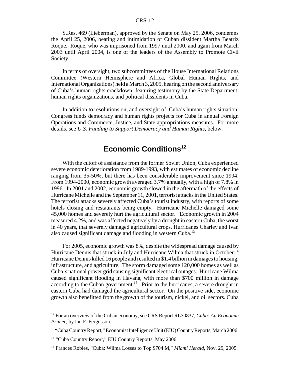S.Res. 469 (Lieberman), approved by the Senate on May 25, 2006, condemns the April 25, 2006, beating and intimidation of Cuban dissident Martha Beatriz Roque. Roque, who was imprisoned from 1997 until 2000, and again from March 2003 until April 2004, is one of the leaders of the Assembly to Promote Civil Society.

In terms of oversight, two subcommittees of the House International Relations Committee (Western Hemisphere and Africa, Global Human Rights, and International Organizations) held a March 3, 2005, hearing on the second anniversary of Cuba's human rights crackdown, featuring testimony by the State Department, human rights organizations, and political dissidents in Cuba.

In addition to resolutions on, and oversight of, Cuba's human rights situation, Congress funds democracy and human rights projects for Cuba in annual Foreign Operations and Commerce, Justice, and State appropriations measures. For more details, see *U.S. Funding to Support Democracy and Human Rights,* below.

# **Economic Conditions<sup>12</sup>**

With the cutoff of assistance from the former Soviet Union, Cuba experienced severe economic deterioration from 1989-1993, with estimates of economic decline ranging from 35-50%, but there has been considerable improvement since 1994. From 1994-2000, economic growth averaged 3.7% annually, with a high of 7.8% in 1996. In 2001 and 2002, economic growth slowed in the aftermath of the effects of Hurricane Michelle and the September 11, 2001, terrorist attacks in the United States. The terrorist attacks severely affected Cuba's tourist industry, with reports of some hotels closing and restaurants being empty. Hurricane Michelle damaged some 45,000 homes and severely hurt the agricultural sector. Economic growth in 2004 measured 4.2%, and was affected negatively by a drought in eastern Cuba, the worst in 40 years, that severely damaged agricultural crops. Hurricanes Charley and Ivan also caused significant damage and flooding in western Cuba.<sup>13</sup>

For 2005, economic growth was 8%, despite the widespread damage caused by Hurricane Dennis that struck in July and Hurricane Wilma that struck in October.14 Hurricane Dennis killed 16 people and resulted in \$1.4 billion in damages to housing, infrastructure, and agriculture. The storm damaged some 120,000 homes as well as Cuba's national power grid causing significant electrical outages. Hurricane Wilma caused significant flooding in Havana, with more than \$700 million in damage according to the Cuban government.<sup>15</sup> Prior to the hurricanes, a severe drought in eastern Cuba had damaged the agricultural sector. On the positive side, economic growth also benefitted from the growth of the tourism, nickel, and oil sectors. Cuba

<sup>12</sup> For an overview of the Cuban economy, see CRS Report RL30837, *Cuba: An Economic Primer*, by Ian F. Fergusson.

<sup>&</sup>lt;sup>13</sup> "Cuba Country Report," Economist Intelligence Unit (EIU) Country Reports, March 2006.

<sup>14 &</sup>quot;Cuba Country Report," EIU Country Reports, May 2006.

<sup>&</sup>lt;sup>15</sup> Frances Robles, "Cuba: Wilma Losses to Top \$704 M," Miami Herald, Nov. 29, 2005.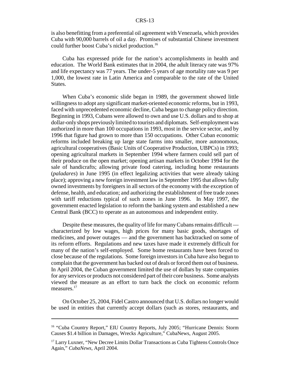is also benefitting from a preferential oil agreement with Venezuela, which provides Cuba with 90,000 barrels of oil a day. Promises of substantial Chinese investment could further boost Cuba's nickel production.16

Cuba has expressed pride for the nation's accomplishments in health and education. The World Bank estimates that in 2004, the adult literacy rate was 97% and life expectancy was 77 years. The under-5 years of age mortality rate was 9 per 1,000, the lowest rate in Latin America and comparable to the rate of the United States.

When Cuba's economic slide began in 1989, the government showed little willingness to adopt any significant market-oriented economic reforms, but in 1993, faced with unprecedented economic decline, Cuba began to change policy direction. Beginning in 1993, Cubans were allowed to own and use U.S. dollars and to shop at dollar-only shops previously limited to tourists and diplomats. Self-employment was authorized in more than 100 occupations in 1993, most in the service sector, and by 1996 that figure had grown to more than 150 occupations. Other Cuban economic reforms included breaking up large state farms into smaller, more autonomous, agricultural cooperatives (Basic Units of Cooperative Production, UBPCs) in 1993; opening agricultural markets in September 1994 where farmers could sell part of their produce on the open market; opening artisan markets in October 1994 for the sale of handicrafts; allowing private food catering, including home restaurants (*paladares*) in June 1995 (in effect legalizing activities that were already taking place); approving a new foreign investment law in September 1995 that allows fully owned investments by foreigners in all sectors of the economy with the exception of defense, health, and education; and authorizing the establishment of free trade zones with tariff reductions typical of such zones in June 1996. In May 1997, the government enacted legislation to reform the banking system and established a new Central Bank (BCC) to operate as an autonomous and independent entity.

Despite these measures, the quality of life for many Cubans remains difficult characterized by low wages, high prices for many basic goods, shortages of medicines, and power outages — and the government has backtracked on some of its reform efforts. Regulations and new taxes have made it extremely difficult for many of the nation's self-employed. Some home restaurants have been forced to close because of the regulations. Some foreign investors in Cuba have also begun to complain that the government has backed out of deals or forced them out of business. In April 2004, the Cuban government limited the use of dollars by state companies for any services or products not considered part of their core business. Some analysts viewed the measure as an effort to turn back the clock on economic reform measures.<sup>17</sup>

On October 25, 2004, Fidel Castro announced that U.S. dollars no longer would be used in entities that currently accept dollars (such as stores, restaurants, and

<sup>&</sup>lt;sup>16</sup> "Cuba Country Report," EIU Country Reports, July 2005; "Hurricane Dennis: Storm Causes \$1.4 billion in Damages, Wrecks Agriculture," CubaNews, August 2005.

<sup>&</sup>lt;sup>17</sup> Larry Luxner, "New Decree Limits Dollar Transactions as Cuba Tightens Controls Once Again," *CubaNews*, April 2004.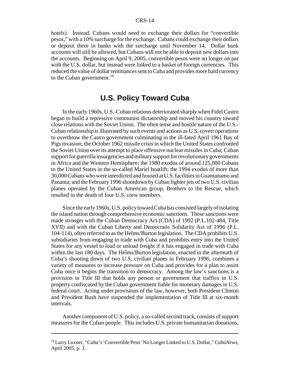hotels). Instead, Cubans would need to exchange their dollars for "convertible pesos," with a 10% surcharge for the exchange. Cubans could exchange their dollars or deposit them in banks with the surcharge until November 14. Dollar bank accounts will still be allowed, but Cubans will not be able to deposit new dollars into the accounts. Beginning on April 9, 2005, convertible pesos were no longer on par with the U.S. dollar, but instead were linked to a basket of foreign currencies. This reduced the value of dollar remittances sent to Cuba and provides more hard currency to the Cuban government.<sup>18</sup>

# **U.S. Policy Toward Cuba**

In the early 1960s, U.S.-Cuban relations deteriorated sharply when Fidel Castro began to build a repressive communist dictatorship and moved his country toward close relations with the Soviet Union. The often tense and hostile nature of the U.S.- Cuban relationship is illustrated by such events and actions as U.S. covert operations to overthrow the Castro government culminating in the ill-fated April 1961 Bay of Pigs invasion; the October 1962 missile crisis in which the United States confronted the Soviet Union over its attempt to place offensive nuclear missiles in Cuba; Cuban support for guerrilla insurgencies and military support for revolutionary governments in Africa and the Western Hemisphere; the 1980 exodus of around 125,000 Cubans to the United States in the so-called Mariel boatlift; the 1994 exodus of more than 30,000 Cubans who were interdicted and housed at U.S. facilities in Guantanamo and Panama; and the February 1996 shootdown by Cuban fighter jets of two U.S. civilian planes operated by the Cuban American group, Brothers to the Rescue, which resulted in the death of four U.S. crew members.

Since the early 1960s, U.S. policy toward Cuba has consisted largely of isolating the island nation through comprehensive economic sanctions. These sanctions were made stronger with the Cuban Democracy Act (CDA) of 1992 (P.L.102-484, Title XVII) and with the Cuban Liberty and Democratic Solidarity Act of 1996 (P.L. 104-114), often referred to as the Helms/Burton legislation. The CDA prohibits U.S. subsidiaries from engaging in trade with Cuba and prohibits entry into the United States for any vessel to load or unload freight if it has engaged in trade with Cuba within the last 180 days. The Helms/Burton legislation, enacted in the aftermath of Cuba's shooting down of two U.S. civilian planes in February 1996, combines a variety of measures to increase pressure on Cuba and provides for a plan to assist Cuba once it begins the transition to democracy. Among the law's sanctions is a provision in Title III that holds any person or government that traffics in U.S. property confiscated by the Cuban government liable for monetary damages in U.S. federal court. Acting under provisions of the law, however, both President Clinton and President Bush have suspended the implementation of Title III at six-month intervals.

Another component of U.S. policy, a so-called second track, consists of support measures for the Cuban people. This includes U.S. private humanitarian donations,

<sup>18</sup> Larry Luxner, "Cuba's 'Convertible Peso' No Longer Linked to U.S. Dollar," *CubaNews*, April 2005, p. 3.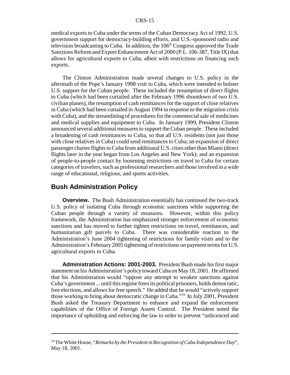medical exports to Cuba under the terms of the Cuban Democracy Act of 1992, U.S. government support for democracy-building efforts, and U.S.-sponsored radio and television broadcasting to Cuba. In addition, the  $106<sup>th</sup>$  Congress approved the Trade Sanctions Reform and Export Enhancement Act of 2000 (P.L. 106-387, Title IX) that allows for agricultural exports to Cuba, albeit with restrictions on financing such exports.

The Clinton Administration made several changes to U.S. policy in the aftermath of the Pope's January 1998 visit to Cuba, which were intended to bolster U.S. support for the Cuban people. These included the resumption of direct flights to Cuba (which had been curtailed after the February 1996 shootdown of two U.S. civilian planes), the resumption of cash remittances for the support of close relatives in Cuba (which had been curtailed in August 1994 in response to the migration crisis with Cuba), and the streamlining of procedures for the commercial sale of medicines and medical supplies and equipment to Cuba. In January 1999, President Clinton announced several additional measures to support the Cuban people. These included a broadening of cash remittances to Cuba, so that all U.S. residents (not just those with close relatives in Cuba) could send remittances to Cuba; an expansion of direct passenger charter flights to Cuba from additional U.S. cities other than Miami (direct flights later in the year began from Los Angeles and New York); and an expansion of people-to-people contact by loosening restrictions on travel to Cuba for certain categories of travelers, such as professional researchers and those involved in a wide range of educational, religious, and sports activities.

## **Bush Administration Policy**

**Overview.** The Bush Administration essentially has continued the two-track U.S. policy of isolating Cuba through economic sanctions while supporting the Cuban people through a variety of measures. However, within this policy framework, the Administration has emphasized stronger enforcement of economic sanctions and has moved to further tighten restrictions on travel, remittances, and humanitarian gift parcels to Cuba. There was considerable reaction to the Administration's June 2004 tightening of restrictions for family visits and to the Administration's February 2005 tightening of restrictions on payment terms for U.S. agricultural exports to Cuba.

**Administration Actions: 2001-2003.** President Bush made his first major statement on his Administration's policy toward Cuba on May 18, 2001. He affirmed that his Administration would "oppose any attempt to weaken sanctions against Cuba's government ... until this regime frees its political prisoners, holds democratic, free elections, and allows for free speech." He added that he would "actively support those working to bring about democratic change in Cuba."19 In July 2001, President Bush asked the Treasury Department to enhance and expand the enforcement capabilities of the Office of Foreign Assets Control. The President noted the importance of upholding and enforcing the law in order to prevent "unlicenced and

<sup>19</sup> The White House, "*Remarks by the President in Recognition of Cuba Independence Day*", May 18, 2001.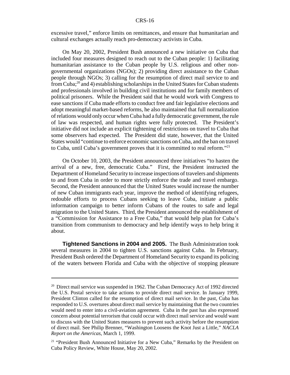excessive travel," enforce limits on remittances, and ensure that humanitarian and cultural exchanges actually reach pro-democracy activists in Cuba.

On May 20, 2002, President Bush announced a new initiative on Cuba that included four measures designed to reach out to the Cuban people: 1) facilitating humanitarian assistance to the Cuban people by U.S. religious and other nongovernmental organizations (NGOs); 2) providing direct assistance to the Cuban people through NGOs; 3) calling for the resumption of direct mail service to and from Cuba;20 and 4) establishing scholarships in the United States for Cuban students and professionals involved in building civil institutions and for family members of political prisoners. While the President said that he would work with Congress to ease sanctions if Cuba made efforts to conduct free and fair legislative elections and adopt meaningful market-based reforms, he also maintained that full normalization of relations would only occur when Cuba had a fully democratic government, the rule of law was respected, and human rights were fully protected. The President's initiative did not include an explicit tightening of restrictions on travel to Cuba that some observers had expected. The President did state, however, that the United States would "continue to enforce economic sanctions on Cuba, and the ban on travel to Cuba, until Cuba's government proves that it is committed to real reform."21

On October 10, 2003, the President announced three initiatives "to hasten the arrival of a new, free, democratic Cuba." First, the President instructed the Department of Homeland Security to increase inspections of travelers and shipments to and from Cuba in order to more strictly enforce the trade and travel embargo. Second, the President announced that the United States would increase the number of new Cuban immigrants each year, improve the method of identifying refugees, redouble efforts to process Cubans seeking to leave Cuba, initiate a public information campaign to better inform Cubans of the routes to safe and legal migration to the United States. Third, the President announced the establishment of a "Commission for Assistance to a Free Cuba," that would help plan for Cuba's transition from communism to democracy and help identify ways to help bring it about.

**Tightened Sanctions in 2004 and 2005.** The Bush Administration took several measures in 2004 to tighten U.S. sanctions against Cuba. In February, President Bush ordered the Department of Homeland Security to expand its policing of the waters between Florida and Cuba with the objective of stopping pleasure

<sup>&</sup>lt;sup>20</sup> Direct mail service was suspended in 1962. The Cuban Democracy Act of 1992 directed the U.S. Postal service to take actions to provide direct mail service. In January 1999, President Clinton called for the resumption of direct mail service. In the past, Cuba has responded to U.S. overtures about direct mail service by maintaining that the two countries would need to enter into a civil-aviation agreement. Cuba in the past has also expressed concern about potential terrorism that could occur with direct mail service and would want to discuss with the United States measures to prevent such activity before the resumption of direct mail. See Philip Brenner, "Washington Loosens the Knot Just a Little," *NACLA Report on the Americas*, March 1, 1999.

<sup>&</sup>lt;sup>21</sup> "President Bush Announced Initiative for a New Cuba," Remarks by the President on Cuba Policy Review, White House, May 20, 2002.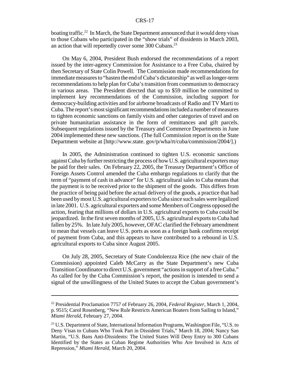boating traffic.<sup>22</sup> In March, the State Department announced that it would deny visas to those Cubans who participated in the "show trials" of dissidents in March 2003, an action that will reportedly cover some 300 Cubans.<sup>23</sup>

On May 6, 2004, President Bush endorsed the recommendations of a report issued by the inter-agency Commission for Assistance to a Free Cuba, chaired by then Secretary of State Colin Powell. The Commission made recommendations for immediate measures to "hasten the end of Cuba's dictatorship" as well as longer-term recommendations to help plan for Cuba's transition from communism to democracy in various areas. The President directed that up to \$59 million be committed to implement key recommendations of the Commission, including support for democracy-building activities and for airborne broadcasts of Radio and TV Marti to Cuba. The report's most significant recommendations included a number of measures to tighten economic sanctions on family visits and other categories of travel and on private humanitarian assistance in the form of remittances and gift parcels. Subsequent regulations issued by the Treasury and Commerce Departments in June 2004 implemented these new sanctions. (The full Commission report is on the State Department website at [http://www.state. gov/p/wha/rt/cuba/commission/2004/].)

In 2005, the Administration continued to tighten U.S. economic sanctions against Cuba by further restricting the process of how U.S. agricultural exporters may be paid for their sales. On February 22, 2005, the Treasury Department's Office of Foreign Assets Control amended the Cuba embargo regulations to clarify that the term of "payment of cash in advance" for U.S. agricultural sales to Cuba means that the payment is to be received prior to the shipment of the goods. This differs from the practice of being paid before the actual delivery of the goods, a practice that had been used by most U.S. agricultural exporters to Cuba since such sales were legalized in late 2001. U.S. agricultural exporters and some Members of Congress opposed the action, fearing that millions of dollars in U.S. agricultural exports to Cuba could be jeopardized. In the first seven months of 2005, U.S. agricultural exports to Cuba had fallen by 25%. In late July 2005, however, OFAC clarified the February amendment to mean that vessels can leave U.S. ports as soon as a foreign bank confirms receipt of payment from Cuba, and this appears to have contributed to a rebound in U.S. agricultural exports to Cuba since August 2005.

On July 28, 2005, Secretary of State Condoleezza Rice (the new chair of the Commission) appointed Caleb McCarry as the State Department's new Cuba Transition Coordinator to direct U.S. government "actions in support of a free Cuba." As called for by the Cuba Commission's report, the position is intended to send a signal of the unwillingness of the United States to accept the Cuban government's

<sup>22</sup> Presidential Proclamation 7757 of February 26, 2004, *Federal Register*, March 1, 2004, p. 9515; Carol Rosenberg, "New Rule Restricts American Boaters from Sailing to Island," *Miami Herald*, February 27, 2004.

<sup>&</sup>lt;sup>23</sup> U.S. Department of State, International Information Programs, Washington File, "U.S. to Deny Visas to Cubans Who Took Part in Dissident Trials," March 18, 2004; Nancy San Martin, "U.S. Bans Anti-Dissidents: The United States Will Deny Entry to 300 Cubans Identified by the States as Cuban Regime Authorities Who Are Involved in Acts of Repression," *Miami Herald*, March 20, 2004.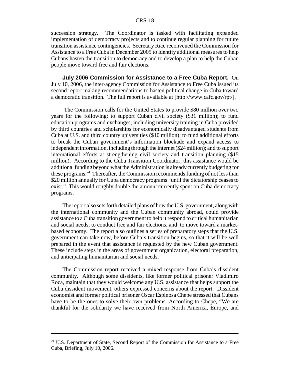succession strategy. The Coordinator is tasked with facilitating expanded implementation of democracy projects and to continue regular planning for future transition assistance contingencies. Secretary Rice reconvened the Commission for Assistance to a Free Cuba in December 2005 to identify additional measures to help Cubans hasten the transition to democracy and to develop a plan to help the Cuban people move toward free and fair elections.

**July 2006 Commission for Assistance to a Free Cuba Report.** On July 10, 2006, the inter-agency Commission for Assistance to Free Cuba issued its second report making recommendations to hasten political change in Cuba toward a democratic transition. The full report is available at [http://www.cafc.gov/rpt/].

 The Commission calls for the United States to provide \$80 million over two years for the following: to support Cuban civil society (\$31 million); to fund education programs and exchanges, including university training in Cuba provided by third countries and scholarships for economically disadvantaged students from Cuba at U.S. and third country universities (\$10 million); to fund additional efforts to break the Cuban government's information blockade and expand access to independent information, including through the Internet (\$24 million); and to support international efforts at strengthening civil society and transition planning (\$15 million). According to the Cuba Transition Coordinator, this assistance would be additional funding beyond what the Administration is already currently budgeting for these programs.<sup>24</sup> Thereafter, the Commission recommends funding of not less than \$20 million annually for Cuba democracy programs "until the dictatorship ceases to exist." This would roughly double the amount currently spent on Cuba democracy programs.

The report also sets forth detailed plans of how the U.S. government, along with the international community and the Cuban community abroad, could provide assistance to a Cuba transition government to help it respond to critical humanitarian and social needs, to conduct free and fair elections, and to move toward a marketbased economy. The report also outlines a series of preparatory steps that the U.S. government can take now, before Cuba's transition begins, so that it will be well prepared in the event that assistance is requested by the new Cuban government. These include steps in the areas of government organization, electoral preparation, and anticipating humanitarian and social needs.

The Commission report received a mixed response from Cuba's dissident community. Although some dissidents, like former political prisoner Vladimiro Roca, maintain that they would welcome any U.S. assistance that helps support the Cuba dissident movement, others expressed concerns about the report. Dissident economist and former political prisoner Oscar Espinosa Chepe stressed that Cubans have to be the ones to solve their own problems. According to Chepe, "We are thankful for the solidarity we have received from North America, Europe, and

<sup>&</sup>lt;sup>24</sup> U.S. Department of State, Second Report of the Commission for Assistance to a Free Cuba, Briefing, July 10, 2006.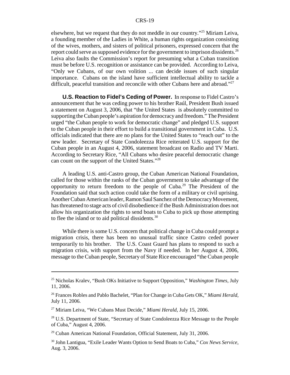elsewhere, but we request that they do not meddle in our country."25 Miriam Leiva, a founding member of the Ladies in White, a human rights organization consisting of the wives, mothers, and sisters of political prisoners, expressed concern that the report could serve as supposed evidence for the government to imprison dissidents.<sup>26</sup> Leiva also faults the Commission's report for presuming what a Cuban transition must be before U.S. recognition or assistance can be provided. According to Leiva, "Only we Cubans, of our own volition ... can decide issues of such singular importance. Cubans on the island have sufficient intellectual ability to tackle a difficult, peaceful transition and reconcile with other Cubans here and abroad."<sup>27</sup>

**U.S. Reaction to Fidel's Ceding of Power.** In response to Fidel Castro's announcement that he was ceding power to his brother Raúl, President Bush issued a statement on August 3, 2006, that "the United States is absolutely committed to supporting the Cuban people's aspiration for democracy and freedom." The President urged "the Cuban people to work for democratic change" and pledged U.S. support to the Cuban people in their effort to build a transitional government in Cuba. U.S. officials indicated that there are no plans for the United States to "reach out" to the new leader. Secretary of State Condoleezza Rice reiterated U.S. support for the Cuban people in an August 4, 2006, statement broadcast on Radio and TV Marti. According to Secretary Rice, "All Cubans who desire peaceful democratic change can count on the support of the United States."28

A leading U.S. anti-Castro group, the Cuban American National Foundation, called for those within the ranks of the Cuban government to take advantage of the opportunity to return freedom to the people of  $Cuba<sup>29</sup>$  The President of the Foundation said that such action could take the form of a military or civil uprising. Another Cuban American leader, Ramon Saul Sanchez of the Democracy Movement, has threatened to stage acts of civil disobedience if the Bush Administration does not allow his organization the rights to send boats to Cuba to pick up those attempting to flee the island or to aid political dissidents.30

While there is some U.S. concern that political change in Cuba could prompt a migration crisis, there has been no unusual traffic since Castro ceded power temporarily to his brother. The U.S. Coast Guard has plans to respond to such a migration crisis, with support from the Navy if needed. In her August 4, 2006, message to the Cuban people, Secretary of State Rice encouraged "the Cuban people

<sup>25</sup> Nicholas Kralev, "Bush OKs Initiative to Support Opposition," *Washington Times*, July 11, 2006.

<sup>26</sup> Frances Robles and Pablo Bachelet, "Plan for Change in Cuba Gets OK," *Miami Herald,* July 11, 2006.

<sup>27</sup> Miriam Leiva, "We Cubans Must Decide," *Miami Herald*, July 15, 2006.

<sup>&</sup>lt;sup>28</sup> U.S. Department of State, "Secretary of State Condoleezza Rice Message to the People of Cuba," August 4, 2006.

<sup>&</sup>lt;sup>29</sup> Cuban American National Foundation, Official Statement, July 31, 2006.

<sup>30</sup> John Lantigua, "Exile Leader Wants Option to Send Boats to Cuba," *Cox News Service*, Aug. 3, 2006.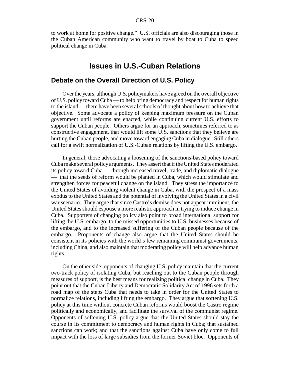to work at home for positive change." U.S. officials are also discouraging those in the Cuban American community who want to travel by boat to Cuba to speed political change in Cuba.

# **Issues in U.S.-Cuban Relations**

#### **Debate on the Overall Direction of U.S. Policy**

Over the years, although U.S. policymakers have agreed on the overall objective of U.S. policy toward Cuba — to help bring democracy and respect for human rights to the island — there have been several schools of thought about how to achieve that objective. Some advocate a policy of keeping maximum pressure on the Cuban government until reforms are enacted, while continuing current U.S. efforts to support the Cuban people. Others argue for an approach, sometimes referred to as constructive engagement, that would lift some U.S. sanctions that they believe are hurting the Cuban people, and move toward engaging Cuba in dialogue. Still others call for a swift normalization of U.S.-Cuban relations by lifting the U.S. embargo.

In general, those advocating a loosening of the sanctions-based policy toward Cuba make several policy arguments. They assert that if the United States moderated its policy toward Cuba — through increased travel, trade, and diplomatic dialogue — that the seeds of reform would be planted in Cuba, which would stimulate and strengthen forces for peaceful change on the island. They stress the importance to the United States of avoiding violent change in Cuba, with the prospect of a mass exodus to the United States and the potential of involving the United States in a civil war scenario. They argue that since Castro's demise does not appear imminent, the United States should espouse a more realistic approach in trying to induce change in Cuba. Supporters of changing policy also point to broad international support for lifting the U.S. embargo, to the missed opportunities to U.S. businesses because of the embargo, and to the increased suffering of the Cuban people because of the embargo. Proponents of change also argue that the United States should be consistent in its policies with the world's few remaining communist governments, including China, and also maintain that moderating policy will help advance human rights.

On the other side, opponents of changing U.S. policy maintain that the current two-track policy of isolating Cuba, but reaching out to the Cuban people through measures of support, is the best means for realizing political change in Cuba. They point out that the Cuban Liberty and Democratic Solidarity Act of 1996 sets forth a road map of the steps Cuba that needs to take in order for the United States to normalize relations, including lifting the embargo. They argue that softening U.S. policy at this time without concrete Cuban reforms would boost the Castro regime politically and economically, and facilitate the survival of the communist regime. Opponents of softening U.S. policy argue that the United States should stay the course in its commitment to democracy and human rights in Cuba; that sustained sanctions can work; and that the sanctions against Cuba have only come to full impact with the loss of large subsidies from the former Soviet bloc. Opponents of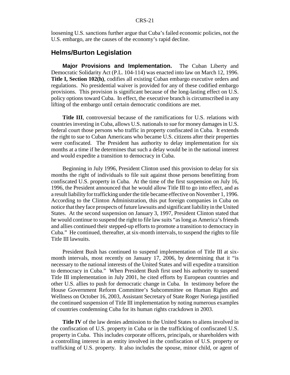loosening U.S. sanctions further argue that Cuba's failed economic policies, not the U.S. embargo, are the causes of the economy's rapid decline.

## **Helms/Burton Legislation**

**Major Provisions and Implementation.** The Cuban Liberty and Democratic Solidarity Act (P.L. 104-114) was enacted into law on March 12, 1996. **Title I, Section 102(h)**, codifies all existing Cuban embargo executive orders and regulations. No presidential waiver is provided for any of these codified embargo provisions. This provision is significant because of the long-lasting effect on U.S. policy options toward Cuba. In effect, the executive branch is circumscribed in any lifting of the embargo until certain democratic conditions are met.

**Title III**, controversial because of the ramifications for U.S. relations with countries investing in Cuba, allows U.S. nationals to sue for money damages in U.S. federal court those persons who traffic in property confiscated in Cuba. It extends the right to sue to Cuban Americans who became U.S. citizens after their properties were confiscated. The President has authority to delay implementation for six months at a time if he determines that such a delay would be in the national interest and would expedite a transition to democracy in Cuba.

Beginning in July 1996, President Clinton used this provision to delay for six months the right of individuals to file suit against those persons benefitting from confiscated U.S. property in Cuba. At the time of the first suspension on July 16, 1996, the President announced that he would allow Title III to go into effect, and as a result liability for trafficking under the title became effective on November 1, 1996. According to the Clinton Administration, this put foreign companies in Cuba on notice that they face prospects of future lawsuits and significant liability in the United States. At the second suspension on January 3, 1997, President Clinton stated that he would continue to suspend the right to file law suits "as long as America's friends and allies continued their stepped-up efforts to promote a transition to democracy in Cuba." He continued, thereafter, at six-month intervals, to suspend the rights to file Title III lawsuits.

President Bush has continued to suspend implementation of Title III at sixmonth intervals, most recently on January 17, 2006, by determining that it "is necessary to the national interests of the United States and will expedite a transition to democracy in Cuba." When President Bush first used his authority to suspend Title III implementation in July 2001, he cited efforts by European countries and other U.S. allies to push for democratic change in Cuba. In testimony before the House Government Reform Committee's Subcommittee on Human Rights and Wellness on October 16, 2003, Assistant Secretary of State Roger Noriega justified the continued suspension of Title III implementation by noting numerous examples of countries condemning Cuba for its human rights crackdown in 2003.

**Title IV** of the law denies admission to the United States to aliens involved in the confiscation of U.S. property in Cuba or in the trafficking of confiscated U.S. property in Cuba. This includes corporate officers, principals, or shareholders with a controlling interest in an entity involved in the confiscation of U.S. property or trafficking of U.S. property. It also includes the spouse, minor child, or agent of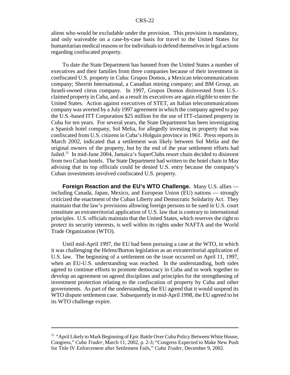aliens who would be excludable under the provision. This provision is mandatory, and only waiveable on a case-by-case basis for travel to the United States for humanitarian medical reasons or for individuals to defend themselves in legal actions regarding confiscated property.

To date the State Department has banned from the United States a number of executives and their families from three companies because of their investment in confiscated U.S. property in Cuba: Grupos Domos, a Mexican telecommunications company; Sherritt International, a Canadian mining company; and BM Group, an Israeli-owned citrus company. In 1997, Grupos Domos disinvested from U.S. claimed property in Cuba, and as a result its executives are again eligible to enter the United States. Action against executives of STET, an Italian telecommunications company was averted by a July 1997 agreement in which the company agreed to pay the U.S.-based ITT Corporation \$25 million for the use of ITT-claimed property in Cuba for ten years. For several years, the State Department has been investigating a Spanish hotel company, Sol Melia, for allegedly investing in property that was confiscated from U.S. citizens in Cuba's Holguin province in 1961. Press reports in March 2002, indicated that a settlement was likely between Sol Melia and the original owners of the property, but by the end of the year settlement efforts had failed.<sup>31</sup> In mid-June 2004, Jamaica's SuperClubs resort chain decided to disinvest from two Cuban hotels. The State Department had written to the hotel chain in May advising that its top officials could be denied U.S. entry because the company's Cuban investments involved confiscated U.S. property.

**Foreign Reaction and the EU's WTO Challenge.** Many U.S. allies including Canada, Japan, Mexico, and European Union (EU) nations — strongly criticized the enactment of the Cuban Liberty and Democratic Solidarity Act. They maintain that the law's provisions allowing foreign persons to be sued in U.S. court constitute an extraterritorial application of U.S. law that is contrary to international principles. U.S. officials maintain that the United States, which reserves the right to protect its security interests, is well within its rights under NAFTA and the World Trade Organization (WTO).

Until mid-April 1997, the EU had been pursuing a case at the WTO, in which it was challenging the Helms/Burton legislation as an extraterritorial application of U.S. law. The beginning of a settlement on the issue occurred on April 11, 1997, when an EU-U.S. understanding was reached. In the understanding, both sides agreed to continue efforts to promote democracy in Cuba and to work together to develop an agreement on agreed disciplines and principles for the strengthening of investment protection relating to the confiscation of property by Cuba and other governments. As part of the understanding, the EU agreed that it would suspend its WTO dispute settlement case. Subsequently in mid-April 1998, the EU agreed to let its WTO challenge expire.

<sup>&</sup>lt;sup>31</sup> "April Likely to Mark Beginning of Epic Battle Over Cuba Policy Between White House, Congress," *Cuba Trader*, March 11, 2002, p. 2-3; "Congress Expected to Make New Push for Title IV Enforcement after Settlement Fails," *Cuba Trader*, December 9, 2002.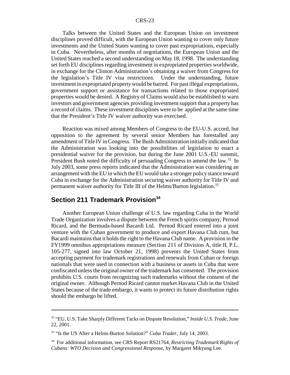Talks between the United States and the European Union on investment disciplines proved difficult, with the European Union wanting to cover only future investments and the United States wanting to cover past expropriations, especially in Cuba. Nevertheless, after months of negotiations, the European Union and the United States reached a second understanding on May 18, 1998. The understanding set forth EU disciplines regarding investment in expropriated properties worldwide, in exchange for the Clinton Administration's obtaining a waiver from Congress for the legislation's Title IV visa restrictions. Under the understanding, future investment in expropriated property would be barred. For past illegal expropriations, government support or assistance for transactions related to those expropriated properties would be denied. A Registry of Claims would also be established to warn investors and government agencies providing investment support that a property has a record of claims. These investment disciplines were to be applied at the same time that the President's Title IV waiver authority was exercised.

Reaction was mixed among Members of Congress to the EU-U.S. accord, but opposition to the agreement by several senior Members has forestalled any amendment of Title IV in Congress. The Bush Administration initially indicated that the Administration was looking into the possibilities of legislation to enact a presidential waiver for the provision, but during the June 2001 U.S.-EU summit, President Bush noted the difficulty of persuading Congress to amend the law.<sup>32</sup> In July 2003, some press reports indicated that the Administration was considering an arrangement with the EU in which the EU would take a stronger policy stance toward Cuba in exchange for the Administration securing waiver authority for Title IV and permanent waiver authority for Title III of the Helms/Burton legislation.<sup>33</sup>

## **Section 211 Trademark Provision<sup>34</sup>**

Another European Union challenge of U.S. law regarding Cuba in the World Trade Organization involves a dispute between the French spirits company, Pernod Ricard, and the Bermuda-based Bacardi Ltd. Pernod Ricard entered into a joint venture with the Cuban government to produce and export Havana Club rum, but Bacardi maintains that it holds the right to the Havana Club name. A provision in the FY1999 omnibus appropriations measure (Section 211 of Division A, title II, P.L. 105-277, signed into law October 21, 1998) prevents the United States from accepting payment for trademark registrations and renewals from Cuban or foreign nationals that were used in connection with a business or assets in Cuba that were confiscated unless the original owner of the trademark has consented. The provision prohibits U.S. courts from recognizing such trademarks without the consent of the original owner. Although Pernod Ricard cannot market Havana Club in the United States because of the trade embargo, it wants to protect its future distribution rights should the embargo be lifted.

<sup>32 &</sup>quot;EU, U.S. Take Sharply Different Tacks on Dispute Resolution," *Inside U.S. Trade*, June 22, 2001.

<sup>33 &</sup>quot;Is the US After a Helms-Burton Solution?" *Cuba Trader*, July 14, 2003.

<sup>34</sup> For additional information, see CRS Report RS21764, *Restricting Trademark Rights of Cubans: WTO Decision and Congressional Response*, by Margaret Mikyung Lee.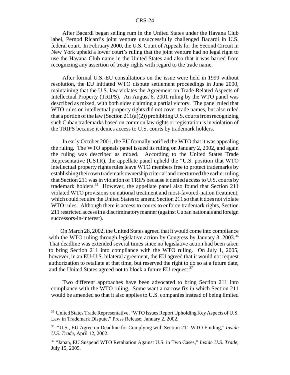After Bacardi began selling rum in the United States under the Havana Club label, Pernod Ricard's joint venture unsuccessfully challenged Bacardi in U.S. federal court. In February 2000, the U.S. Court of Appeals for the Second Circuit in New York upheld a lower court's ruling that the joint venture had no legal right to use the Havana Club name in the United States and also that it was barred from recognizing any assertion of treaty rights with regard to the trade name.

After formal U.S.-EU consultations on the issue were held in 1999 without resolution, the EU initiated WTO dispute settlement proceedings in June 2000, maintaining that the U.S. law violates the Agreement on Trade-Related Aspects of Intellectual Property (TRIPS). An August 6, 2001 ruling by the WTO panel was described as mixed, with both sides claiming a partial victory. The panel ruled that WTO rules on intellectual property rights did not cover trade names, but also ruled that a portion of the law (Section 211(a)(2)) prohibiting U.S. courts from recognizing such Cuban trademarks based on common law rights or registration is in violation of the TRIPS because it denies access to U.S. courts by trademark holders.

In early October 2001, the EU formally notified the WTO that it was appealing the ruling. The WTO appeals panel issued its ruling on January 2, 2002, and again the ruling was described as mixed. According to the United States Trade Representative (USTR), the appellate panel upheld the "U.S. position that WTO intellectual property rights rules leave WTO members free to protect trademarks by establishing their own trademark ownership criteria" and overturned the earlier ruling that Section 211 was in violation of TRIPs because it denied access to U.S. courts by trademark holders.<sup>35</sup> However, the appellate panel also found that Section 211 violated WTO provisions on national treatment and most-favored-nation treatment, which could require the United States to amend Section 211 so that it does not violate WTO rules. Although there is access to courts to enforce trademark rights, Section 211 restricted access in a discriminatory manner (against Cuban nationals and foreign successors-in-interest).

On March 28, 2002, the United States agreed that it would come into compliance with the WTO ruling through legislative action by Congress by January 3, 2003.<sup>36</sup> That deadline was extended several times since no legislative action had been taken to bring Section 211 into compliance with the WTO ruling. On July 1, 2005, however, in an EU-U.S. bilateral agreement, the EU agreed that it would not request authorization to retaliate at that time, but reserved the right to do so at a future date, and the United States agreed not to block a future EU request.<sup>37</sup>

Two different approaches have been advocated to bring Section 211 into compliance with the WTO ruling. Some want a narrow fix in which Section 211 would be amended so that it also applies to U.S. companies instead of being limited

<sup>&</sup>lt;sup>35</sup> United States Trade Representative, "WTO Issues Report Upholding Key Aspects of U.S. Law in Trademark Dispute," Press Release, January 2, 2002.

<sup>36 &</sup>quot;U.S., EU Agree on Deadline for Complying with Section 211 WTO Finding," *Inside U.S. Trade,* April 12, 2002.

<sup>37 &</sup>quot;Japan, EU Suspend WTO Retaliation Against U.S. in Two Cases," *Inside U.S. Trade*, July 15, 2005.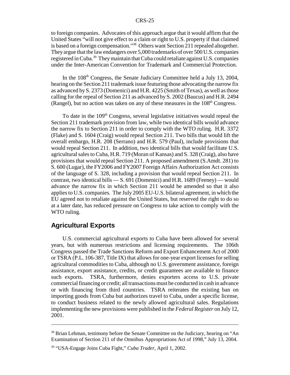to foreign companies. Advocates of this approach argue that it would affirm that the United States "will not give effect to a claim or right to U.S. property if that claimed is based on a foreign compensation."38 Others want Section 211 repealed altogether. They argue that the law endangers over 5,000 trademarks of over 500 U.S. companies registered in Cuba.39 They maintain that Cuba could retaliate against U.S. companies under the Inter-American Convention for Trademark and Commercial Protection.

In the 108<sup>th</sup> Congress, the Senate Judiciary Committee held a July 13, 2004, hearing on the Section 211 trademark issue featuring those advocating the narrow fix as advanced by S. 2373 (Domenici) and H.R. 4225 (Smith of Texas), as well as those calling for the repeal of Section 211 as advanced by S. 2002 (Baucus) and H.R. 2494 (Rangel), but no action was taken on any of these measures in the  $108<sup>th</sup>$  Congress.

To date in the  $109<sup>th</sup>$  Congress, several legislative initiatives would repeal the Section 211 trademark provision from law, while two identical bills would advance the narrow fix to Section 211 in order to comply with the WTO ruling. H.R. 3372 (Flake) and S. 1604 (Craig) would repeal Section 211. Two bills that would lift the overall embargo, H.R. 208 (Serrano) and H.R. 579 (Paul), include provisions that would repeal Section 211. In addition, two identical bills that would facilitate U.S. agricultural sales to Cuba, H.R. 719 (Moran of Kansas) and S. 328 (Craig), also have provisions that would repeal Section 211. A proposed amendment (S.Amdt. 281) to S. 600 (Lugar), the FY2006 and FY2007 Foreign Affairs Authorization Act consists of the language of S. 328, including a provision that would repeal Section 211. In contrast, two identical bills — S. 691 (Domenici) and H.R. 1689 (Feeney) — would advance the narrow fix in which Section 211 would be amended so that it also applies to U.S. companies. The July 2005 EU-U.S. bilateral agreement, in which the EU agreed not to retaliate against the United States, but reserved the right to do so at a later date, has reduced pressure on Congress to take action to comply with the WTO ruling.

## **Agricultural Exports**

U.S. commercial agricultural exports to Cuba have been allowed for several years, but with numerous restrictions and licensing requirements. The 106th Congress passed the Trade Sanctions Reform and Export Enhancement Act of 2000 or TSRA (P.L. 106-387, Title IX) that allows for one-year export licenses for selling agricultural commodities to Cuba, although no U.S. government assistance, foreign assistance, export assistance, credits, or credit guarantees are available to finance such exports. TSRA, furthermore, denies exporters access to U.S. private commercial financing or credit; all transactions must be conducted in cash in advance or with financing from third countries. TSRA reiterates the existing ban on importing goods from Cuba but authorizes travel to Cuba, under a specific license, to conduct business related to the newly allowed agricultural sales. Regulations implementing the new provisions were published in the *Federal Register* on July 12, 2001.

<sup>&</sup>lt;sup>38</sup> Brian Lehman, testimony before the Senate Committee on the Judiciary, hearing on "An Examination of Section 211 of the Omnibus Appropriations Act of 1998," July 13, 2004.

<sup>39 &</sup>quot;USA-Engage Joins Cuba Fight," *Cuba Trader*, April 1, 2002.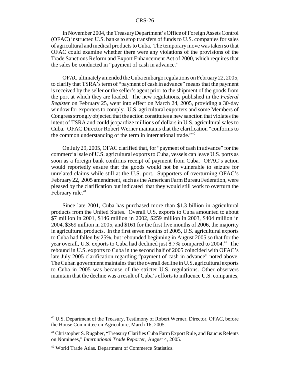In November 2004, the Treasury Department's Office of Foreign Assets Control (OFAC) instructed U.S. banks to stop transfers of funds to U.S. companies for sales of agricultural and medical products to Cuba. The temporary move was taken so that OFAC could examine whether there were any violations of the provisions of the Trade Sanctions Reform and Export Enhancement Act of 2000, which requires that the sales be conducted in "payment of cash in advance."

OFAC ultimately amended the Cuba embargo regulations on February 22, 2005, to clarify that TSRA's term of "payment of cash in advance" means that the payment is received by the seller or the seller's agent prior to the shipment of the goods from the port at which they are loaded. The new regulations, published in the *Federal Register* on February 25, went into effect on March 24, 2005, providing a 30-day window for exporters to comply. U.S. agricultural exporters and some Members of Congress strongly objected that the action constitutes a new sanction that violates the intent of TSRA and could jeopardize millions of dollars in U.S. agricultural sales to Cuba. OFAC Director Robert Werner maintains that the clarification "conforms to the common understanding of the term in international trade.<sup>140</sup>

On July 29, 2005, OFAC clarified that, for "payment of cash in advance" for the commercial sale of U.S. agricultural exports to Cuba, vessels can leave U.S. ports as soon as a foreign bank confirms receipt of payment from Cuba. OFAC's action would reportedly ensure that the goods would not be vulnerable to seizure for unrelated claims while still at the U.S. port. Supporters of overturning OFAC's February 22, 2005 amendment, such as the American Farm Bureau Federation, were pleased by the clarification but indicated that they would still work to overturn the February rule.<sup>41</sup>

Since late 2001, Cuba has purchased more than \$1.3 billion in agricultural products from the United States. Overall U.S. exports to Cuba amounted to about \$7 million in 2001, \$146 million in 2002, \$259 million in 2003, \$404 million in 2004, \$369 million in 2005, and \$161 for the first five months of 2006, the majority in agricultural products. In the first seven months of 2005, U.S. agricultural exports to Cuba had fallen by 25%, but rebounded beginning in August 2005 so that for the year overall, U.S. exports to Cuba had declined just 8.7% compared to 2004.<sup>42</sup> The rebound in U.S. exports to Cuba in the second half of 2005 coincided with OFAC's late July 2005 clarification regarding "payment of cash in advance" noted above. The Cuban government maintains that the overall decline in U.S. agricultural exports to Cuba in 2005 was because of the stricter U.S. regulations. Other observers maintain that the decline was a result of Cuba's efforts to influence U.S. companies,

<sup>&</sup>lt;sup>40</sup> U.S. Department of the Treasury, Testimony of Robert Werner, Director, OFAC, before the House Committee on Agriculture, March 16, 2005.

<sup>&</sup>lt;sup>41</sup> Christopher S. Rugaber, "Treasury Clarifies Cuba Farm Export Rule, and Baucus Relents on Nominees," *International Trade Reporter*, August 4, 2005.

<sup>&</sup>lt;sup>42</sup> World Trade Atlas. Department of Commerce Statistics.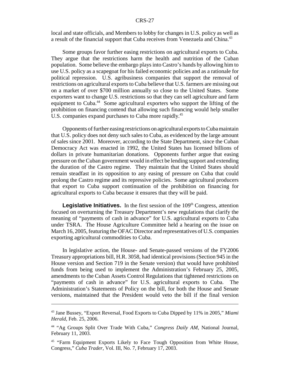local and state officials, and Members to lobby for changes in U.S. policy as well as a result of the financial support that Cuba receives from Venezuela and China.<sup>43</sup>

Some groups favor further easing restrictions on agricultural exports to Cuba. They argue that the restrictions harm the health and nutrition of the Cuban population. Some believe the embargo plays into Castro's hands by allowing him to use U.S. policy as a scapegoat for his failed economic policies and as a rationale for political repression. U.S. agribusiness companies that support the removal of restrictions on agricultural exports to Cuba believe that U.S. farmers are missing out on a market of over \$700 million annually so close to the United States. Some exporters want to change U.S. restrictions so that they can sell agriculture and farm equipment to Cuba.<sup>44</sup> Some agricultural exporters who support the lifting of the prohibition on financing contend that allowing such financing would help smaller U.S. companies expand purchases to Cuba more rapidly.<sup>45</sup>

Opponents of further easing restrictions on agricultural exports to Cuba maintain that U.S. policy does not deny such sales to Cuba, as evidenced by the large amount of sales since 2001. Moreover, according to the State Department, since the Cuban Democracy Act was enacted in 1992, the United States has licensed billions of dollars in private humanitarian donations. Opponents further argue that easing pressure on the Cuban government would in effect be lending support and extending the duration of the Castro regime. They maintain that the United States should remain steadfast in its opposition to any easing of pressure on Cuba that could prolong the Castro regime and its repressive policies. Some agricultural producers that export to Cuba support continuation of the prohibition on financing for agricultural exports to Cuba because it ensures that they will be paid.

**Legislative Initiatives.** In the first session of the 109<sup>th</sup> Congress, attention focused on overturning the Treasury Department's new regulations that clarify the meaning of "payments of cash in advance" for U.S. agricultural exports to Cuba under TSRA. The House Agriculture Committee held a hearing on the issue on March 16, 2005, featuring the OFAC Director and representatives of U.S. companies exporting agricultural commodities to Cuba.

In legislative action, the House- and Senate-passed versions of the FY2006 Treasury appropriations bill, H.R. 3058, had identical provisions (Section 945 in the House version and Section 719 in the Senate version) that would have prohibited funds from being used to implement the Administration's February 25, 2005, amendments to the Cuban Assets Control Regulations that tightened restrictions on "payments of cash in advance" for U.S. agricultural exports to Cuba. The Administration's Statements of Policy on the bill, for both the House and Senate versions, maintained that the President would veto the bill if the final version

<sup>43</sup> Jane Bussey, "Export Reversal, Food Exports to Cuba Dipped by 11% in 2005," *Miami Herald*, Feb. 25, 2006.

<sup>44 &</sup>quot;Ag Groups Split Over Trade With Cuba," *Congress Daily AM*, National Journal, February 11, 2003.

<sup>&</sup>lt;sup>45</sup> "Farm Equipment Exports Likely to Face Tough Opposition from White House, Congress," *Cuba Trader*, Vol. III, No. 7, February 17, 2003.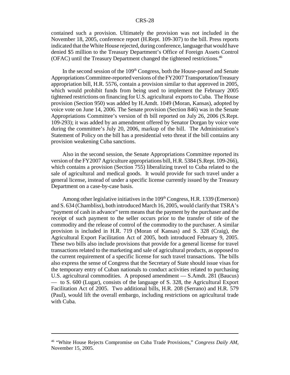contained such a provision. Ultimately the provision was not included in the November 18, 2005, conference report (H.Rept. 109-307) to the bill. Press reports indicated that the White House rejected, during conference, language that would have denied \$5 million to the Treasury Department's Office of Foreign Assets Control (OFAC) until the Treasury Department changed the tightened restrictions.<sup>46</sup>

In the second session of the  $109<sup>th</sup>$  Congress, both the House-passed and Senate Appropriations Committee-reported versions of the FY2007 Transportation/Treasury appropriation bill, H.R. 5576, contain a provision similar to that approved in 2005, which would prohibit funds from being used to implement the February 2005 tightened restrictions on financing for U.S. agricultural exports to Cuba. The House provision (Section 950) was added by H.Amdt. 1049 (Moran, Kansas), adopted by voice vote on June 14, 2006. The Senate provision (Section 846) was in the Senate Appropriations Committee's version of th bill reported on July 26, 2006 (S.Rept. 109-293); it was added by an amendment offered by Senator Dorgan by voice vote during the committee's July 20, 2006, markup of the bill. The Administration's Statement of Policy on the bill has a presidential veto threat if the bill contains any provision weakening Cuba sanctions.

Also in the second session, the Senate Appropriations Committee reported its version of the FY2007 Agriculture appropriations bill, H.R. 5384 (S.Rept. 109-266), which contains a provision (Section 755) liberalizing travel to Cuba related to the sale of agricultural and medical goods. It would provide for such travel under a general license, instead of under a specific license currently issued by the Treasury Department on a case-by-case basis.

Among other legislative initiatives in the  $109<sup>th</sup> Congress, H.R. 1339 (Emerson)$ and S. 634 (Chambliss), both introduced March 16, 2005, would clarify that TSRA's "payment of cash in advance" term means that the payment by the purchaser and the receipt of such payment to the seller occurs prior to the transfer of title of the commodity and the release of control of the commodity to the purchaser. A similar provision is included in H.R. 719 (Moran of Kansas) and S. 328 (Craig), the Agricultural Export Facilitation Act of 2005, both introduced February 9, 2005. These two bills also include provisions that provide for a general license for travel transactions related to the marketing and sale of agricultural products, as opposed to the current requirement of a specific license for such travel transactions. The bills also express the sense of Congress that the Secretary of State should issue visas for the temporary entry of Cuban nationals to conduct activities related to purchasing U.S. agricultural commodities. A proposed amendment — S.Amdt. 281 (Baucus) — to S. 600 (Lugar), consists of the language of S. 328, the Agricultural Export Facilitation Act of 2005. Two additional bills, H.R. 208 (Serrano) and H.R. 579 (Paul), would lift the overall embargo, including restrictions on agricultural trade with Cuba.

<sup>46 &</sup>quot;White House Rejects Compromise on Cuba Trade Provisions," *Congress Daily AM*, November 15, 2005.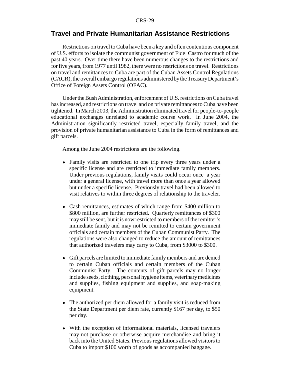## **Travel and Private Humanitarian Assistance Restrictions**

Restrictions on travel to Cuba have been a key and often contentious component of U.S. efforts to isolate the communist government of Fidel Castro for much of the past 40 years. Over time there have been numerous changes to the restrictions and for five years, from 1977 until 1982, there were no restrictions on travel. Restrictions on travel and remittances to Cuba are part of the Cuban Assets Control Regulations (CACR), the overall embargo regulations administered by the Treasury Department's Office of Foreign Assets Control (OFAC).

Under the Bush Administration, enforcement of U.S. restrictions on Cuba travel has increased, and restrictions on travel and on private remittances to Cuba have been tightened. In March 2003, the Administration eliminated travel for people-to-people educational exchanges unrelated to academic course work. In June 2004, the Administration significantly restricted travel, especially family travel, and the provision of private humanitarian assistance to Cuba in the form of remittances and gift parcels.

Among the June 2004 restrictions are the following.

- Family visits are restricted to one trip every three years under a specific license and are restricted to immediate family members. Under previous regulations, family visits could occur once a year under a general license, with travel more than once a year allowed but under a specific license. Previously travel had been allowed to visit relatives to within three degrees of relationship to the traveler.
- Cash remittances, estimates of which range from \$400 million to \$800 million, are further restricted. Quarterly remittances of \$300 may still be sent, but it is now restricted to members of the remitter's immediate family and may not be remitted to certain government officials and certain members of the Cuban Communist Party. The regulations were also changed to reduce the amount of remittances that authorized travelers may carry to Cuba, from \$3000 to \$300.
- ! Gift parcels are limited to immediate family members and are denied to certain Cuban officials and certain members of the Cuban Communist Party. The contents of gift parcels may no longer include seeds, clothing, personal hygiene items, veterinary medicines and supplies, fishing equipment and supplies, and soap-making equipment.
- The authorized per diem allowed for a family visit is reduced from the State Department per diem rate, currently \$167 per day, to \$50 per day.
- ! With the exception of informational materials, licensed travelers may not purchase or otherwise acquire merchandise and bring it back into the United States. Previous regulations allowed visitors to Cuba to import \$100 worth of goods as accompanied baggage.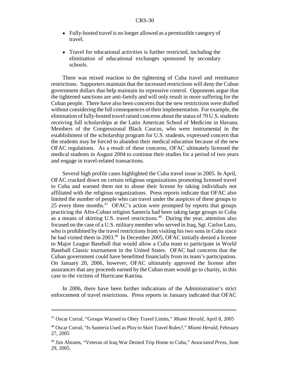- Fully-hosted travel is no longer allowed as a permissible category of travel.
- Travel for educational activities is further restricted, including the elimination of educational exchanges sponsored by secondary schools.

There was mixed reaction to the tightening of Cuba travel and remittance restrictions. Supporters maintain that the increased restrictions will deny the Cuban government dollars that help maintain its repressive control. Opponents argue that the tightened sanctions are anti-family and will only result in more suffering for the Cuban people. There have also been concerns that the new restrictions were drafted without considering the full consequences of their implementation. For example, the elimination of fully-hosted travel raised concerns about the status of 70 U.S. students receiving full scholarships at the Latin American School of Medicine in Havana. Members of the Congressional Black Caucus, who were instrumental in the establishment of the scholarship program for U.S. students, expressed concern that the students may be forced to abandon their medical education because of the new OFAC regulations. As a result of these concerns, OFAC ultimately licensed the medical students in August 2004 to continue their studies for a period of two years and engage in travel-related transactions.

Several high profile cases highlighted the Cuba travel issue in 2005. In April, OFAC cracked down on certain religious organizations promoting licensed travel to Cuba and warned them not to abuse their license by taking individuals not affiliated with the religious organizations. Press reports indicate that OFAC also limited the number of people who can travel under the auspices of these groups to 25 every three months.<sup>47</sup> OFAC's action were prompted by reports that groups practicing the Afro-Cuban religion Santería had been taking large groups to Cuba as a means of skirting U.S. travel restrictions.<sup>48</sup> During the year, attention also focused on the case of a U.S. military member who served in Iraq, Sgt. Carlos Lazo, who is prohibited by the travel restrictions from visiting his two sons in Cuba since he had visited them in 2003.<sup>49</sup> In December 2005, OFAC initially denied a license to Major League Baseball that would allow a Cuba team to participate in World Baseball Classic tournament in the United States. OFAC had concerns that the Cuban government could have benefitted financially from its team's participation. On January 20, 2006, however, OFAC ultimately approved the license after assurances that any proceeds earned by the Cuban team would go to charity, in this case to the victims of Hurricane Katrina.

In 2006, there have been further indications of the Administration's strict enforcement of travel restrictions. Press reports in January indicated that OFAC

<sup>47</sup> Oscar Corral, "Groups Warned to Obey Travel Limits," *Miami Herald*, April 8, 2005

<sup>48</sup> Oscar Corral, "Is Santería Used as Ploy to Skirt Travel Rules?," *Miami Herald*, February 27, 2005

<sup>49</sup> Jim Abrams, "Veteran of Iraq War Denied Trip Home to Cuba," *Associated Press*, June 29, 2005.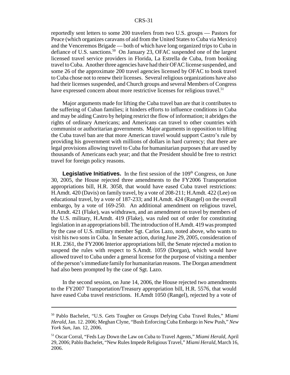reportedly sent letters to some 200 travelers from two U.S. groups — Pastors for Peace (which organizes caravans of aid from the United States to Cuba via Mexico) and the Venceremos Brigade — both of which have long organized trips to Cuba in defiance of U.S. sanctions.<sup>50</sup> On January 23, OFAC suspended one of the largest licensed travel service providers in Florida, La Estrella de Cuba, from booking travel to Cuba. Another three agencies have had their OFAC license suspended, and some 26 of the approximate 200 travel agencies licensed by OFAC to book travel to Cuba chose not to renew their licenses. Several religious organizations have also had their licenses suspended, and Church groups and several Members of Congress have expressed concern about more restrictive licenses for religious travel.<sup>51</sup>

Major arguments made for lifting the Cuba travel ban are that it contributes to the suffering of Cuban families; it hinders efforts to influence conditions in Cuba and may be aiding Castro by helping restrict the flow of information; it abridges the rights of ordinary Americans; and Americans can travel to other countries with communist or authoritarian governments. Major arguments in opposition to lifting the Cuba travel ban are that more American travel would support Castro's rule by providing his government with millions of dollars in hard currency; that there are legal provisions allowing travel to Cuba for humanitarian purposes that are used by thousands of Americans each year; and that the President should be free to restrict travel for foreign policy reasons.

**Legislative Initiatives.** In the first session of the 109<sup>th</sup> Congress, on June 30, 2005, the House rejected three amendments to the FY2006 Transportation appropriations bill, H.R. 3058, that would have eased Cuba travel restrictions: H.Amdt. 420 (Davis) on family travel, by a vote of 208-211; H.Amdt. 422 (Lee) on educational travel, by a vote of 187-233; and H.Amdt. 424 (Rangel) on the overall embargo, by a vote of 169-250. An additional amendment on religious travel, H.Amdt. 421 (Flake), was withdrawn, and an amendment on travel by members of the U.S. military, H.Amdt. 419 (Flake), was ruled out of order for constituting legislation in an appropriations bill. The introduction of H.Amdt. 419 was prompted by the case of U.S. military member Sgt. Carlos Lazo, noted above, who wants to visit his two sons in Cuba. In Senate action, during June 29, 2005, consideration of H.R. 2361, the FY2006 Interior appropriations bill, the Senate rejected a motion to suspend the rules with respect to S.Amdt. 1059 (Dorgan), which would have allowed travel to Cuba under a general license for the purpose of visiting a member of the person's immediate family for humanitarian reasons. The Dorgan amendment had also been prompted by the case of Sgt. Lazo.

In the second session, on June 14, 2006, the House rejected two amendments to the FY2007 Transportation/Treasury appropriation bill, H.R. 5576, that would have eased Cuba travel restrictions. H.Amdt 1050 (Rangel), rejected by a vote of

<sup>50</sup> Pablo Bachelet, "U.S. Gets Tougher on Groups Defying Cuba Travel Rules," *Miami Herald*, Jan. 12. 2006; Meghan Clyne, "Bush Enforcing Cuba Embargo in New Push," *New York Sun*, Jan. 12, 2006.

<sup>51</sup> Oscar Corral, "Feds Lay Down the Law on Cuba to Travel Agents," *Miami Herald*, April 29, 2006; Pablo Bachelet, "New Rules Impede Religious Travel," *Miami Herald*, March 16, 2006.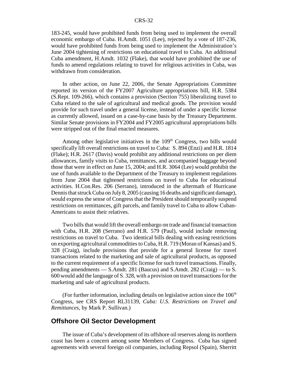183-245, would have prohibited funds from being used to implement the overall economic embargo of Cuba. H.Amdt. 1051 (Lee), rejected by a vote of 187-236, would have prohibited funds from being used to implement the Administration's June 2004 tightening of restrictions on educational travel to Cuba. An additional Cuba amendment, H.Amdt. 1032 (Flake), that would have prohibited the use of funds to amend regulations relating to travel for religious activities in Cuba, was withdrawn from consideration.

In other action, on June 22, 2006, the Senate Appropriations Committee reported its version of the FY2007 Agriculture appropriations bill, H.R. 5384 (S.Rept. 109-266), which contains a provision (Section 755) liberalizing travel to Cuba related to the sale of agricultural and medical goods. The provision would provide for such travel under a general license, instead of under a specific license as currently allowed, issued on a case-by-case basis by the Treasury Department. Similar Senate provisions in FY2004 and FY2005 agricultural appropriations bills were stripped out of the final enacted measures.

Among other legislative initiatives in the  $109<sup>th</sup>$  Congress, two bills would specifically lift overall restrictions on travel to Cuba: S. 894 (Enzi) and H.R. 1814 (Flake); H.R. 2617 (Davis) would prohibit any additional restrictions on per diem allowances, family visits to Cuba, remittances, and accompanied baggage beyond those that were in effect on June 15, 2004; and H.R. 3064 (Lee) would prohibit the use of funds available to the Department of the Treasury to implement regulations from June 2004 that tightened restrictions on travel to Cuba for educational activities. H.Con.Res. 206 (Serrano), introduced in the aftermath of Hurricane Dennis that struck Cuba on July 8, 2005 (causing 16 deaths and significant damage), would express the sense of Congress that the President should temporarily suspend restrictions on remittances, gift parcels, and family travel to Cuba to allow Cuban-Americans to assist their relatives.

Two bills that would lift the overall embargo on trade and financial transaction with Cuba, H.R. 208 (Serrano) and H.R. 579 (Paul), would include removing restrictions on travel to Cuba. Two identical bills dealing with easing restrictions on exporting agricultural commodities to Cuba, H.R. 719 (Moran of Kansas) and S. 328 (Craig), include provisions that provide for a general license for travel transactions related to the marketing and sale of agricultural products, as opposed to the current requirement of a specific license for such travel transactions. Finally, pending amendments — S.Amdt. 281 (Baucus) and S.Amdt. 282 (Craig) — to S. 600 would add the language of S. 328, with a provision on travel transactions for the marketing and sale of agricultural products.

(For further information, including details on legislative action since the  $106<sup>th</sup>$ Congress, see CRS Report RL31139, *Cuba: U.S. Restrictions on Travel and Remittances*, by Mark P. Sullivan.)

#### **Offshore Oil Sector Development**

The issue of Cuba's development of its offshore oil reserves along its northern coast has been a concern among some Members of Congress. Cuba has signed agreements with several foreign oil companies, including Repsol (Spain), Sherritt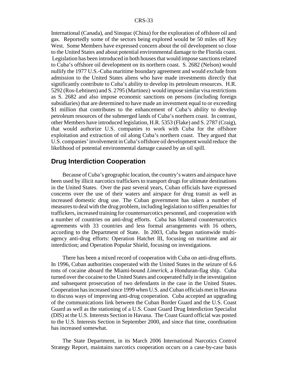International (Canada), and Sinopac (China) for the exploration of offshore oil and gas. Reportedly some of the sectors being explored would be 50 miles off Key West. Some Members have expressed concern about the oil development so close to the United States and about potential environmental damage to the Florida coast. Legislation has been introduced in both houses that would impose sanctions related to Cuba's offshore oil development on its northern coast. S. 2682 (Nelson) would nullify the 1977 U.S.-Cuba maritime boundary agreement and would exclude from admission to the United States aliens who have made investments directly that significantly contribute to Cuba's ability to develop its petroleum resources. H.R. 5292 (Ros-Lehtinen) and S. 2795 (Martinez) would impose similar visa restrictions as S. 2682 and also impose economic sanctions on persons (including foreign subsidiaries) that are determined to have made an investment equal to or exceeding \$1 million that contributes to the enhancement of Cuba's ability to develop petroleum resources of the submerged lands of Cuba's northern coast. In contrast, other Members have introduced legislation, H.R. 5353 (Flake) and S. 2787 (Craig), that would authorize U.S. companies to work with Cuba for the offshore exploitation and extraction of oil along Cuba's northern coast. They argued that U.S. companies' involvement in Cuba's offshore oil development would reduce the likelihood of potential environmental damage caused by an oil spill.

## **Drug Interdiction Cooperation**

Because of Cuba's geographic location, the country's waters and airspace have been used by illicit narcotics traffickers to transport drugs for ultimate destinations in the United States. Over the past several years, Cuban officials have expressed concerns over the use of their waters and airspace for drug transit as well as increased domestic drug use. The Cuban government has taken a number of measures to deal with the drug problem, including legislation to stiffen penalties for traffickers, increased training for counternarcotics personnel, and cooperation with a number of countries on anti-drug efforts. Cuba has bilateral counternarcotics agreements with 33 countries and less formal arrangements with 16 others, according to the Department of State. In 2003, Cuba began nationwide multiagency anti-drug efforts: Operation Hatchet III, focusing on maritime and air interdiction; and Operation Popular Shield, focusing on investigations.

There has been a mixed record of cooperation with Cuba on anti-drug efforts. In 1996, Cuban authorities cooperated with the United States in the seizure of 6.6 tons of cocaine aboard the Miami-bound *Limerick*, a Honduran-flag ship. Cuba turned over the cocaine to the United States and cooperated fully in the investigation and subsequent prosecution of two defendants in the case in the United States. Cooperation has increased since 1999 when U.S. and Cuban officials met in Havana to discuss ways of improving anti-drug cooperation. Cuba accepted an upgrading of the communications link between the Cuban Border Guard and the U.S. Coast Guard as well as the stationing of a U.S. Coast Guard Drug Interdiction Specialist (DIS) at the U.S. Interests Section in Havana. The Coast Guard official was posted to the U.S. Interests Section in September 2000, and since that time, coordination has increased somewhat.

The State Department, in its March 2006 International Narcotics Control Strategy Report, maintains narcotics cooperation occurs on a case-by-case basis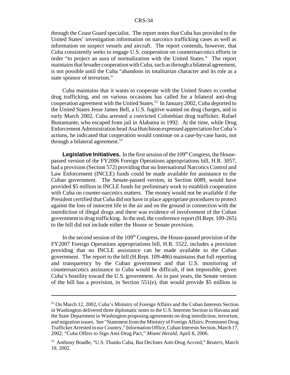through the Coast Guard specialist. The report notes that Cuba has provided to the United States' investigation information on narcotics trafficking cases as well as information on suspect vessels and aircraft. The report contends, however, that Cuba consistently seeks to engage U.S. cooperation on counternarcotics efforts in order "to project an aura of normalization with the United States." The report maintains that broader cooperation with Cuba, such as through a bilateral agreement, is not possible until the Cuba "abandons its totalitarian character and its role as a state sponsor of terrorism."

Cuba maintains that it wants to cooperate with the United States to combat drug trafficking, and on various occasions has called for a bilateral anti-drug cooperation agreement with the United States.<sup>52</sup> In January 2002, Cuba deported to the United States Jesse James Bell, a U.S. fugitive wanted on drug charges, and in early March 2002, Cuba arrested a convicted Colombian drug trafficker, Rafael Bustamante, who escaped from jail in Alabama in 1992. At the time, while Drug Enforcement Administration head Asa Hutchison expressed appreciation for Cuba's actions, he indicated that cooperation would continue on a case-by-case basis, not through a bilateral agreement.<sup>53</sup>

**Legislative Initiatives.** In the first session of the 109<sup>th</sup> Congress, the Housepassed version of the FY2006 Foreign Operations appropriations bill, H.R. 3057, had a provision (Section 572) providing that no International Narcotics Control and Law Enforcement (INCLE) funds could be made available for assistance to the Cuban government. The Senate-passed version, in Section 6089, would have provided \$5 million in INCLE funds for preliminary work to establish cooperation with Cuba on counter-narcotics matters. The money would not be available if the President certified that Cuba did not have in place appropriate procedures to protect against the loss of innocent life in the air and on the ground in connection with the interdiction of illegal drugs and there was evidence of involvement of the Cuban government in drug trafficking. In the end, the conference report (H.Rept. 109-265) to the bill did not include either the House or Senate provision.

In the second session of the  $109<sup>th</sup>$  Congress, the House-passed provision of the FY2007 Foreign Operations appropriations bill, H.R. 5522, includes a provision providing that no INCLE assistance can be made available to the Cuban government. The report to the bill (H.Rept. 109-486) maintains that full reporting and transparency by the Cuban government and that U.S. monitoring of counternarcotics assistance in Cuba would be difficult, if not impossible, given Cuba's hostility toward the U.S. government. As in past years, the Senate version of the bill has a provision, in Section 551(e), that would provide \$5 million in

<sup>&</sup>lt;sup>52</sup> On March 12, 2002, Cuba's Ministry of Foreign Affairs and the Cuban Interests Section in Washington delivered three diplomatic notes to the U.S. Interests Section in Havana and the State Department in Washington proposing agreements on drug interdiction, terrorism, and migration issues. See "Statement from the Ministry of Foreign Affairs: Prominent Drug Trafficker Arrested in our Country," Information Office, Cuban Interests Section, March 17, 2002; "Cuba Offers to Sign Anti-Drug Pact," *Miami Herald,* April 8, 2006.

<sup>53</sup> Anthony Boadle, "U.S. Thanks Cuba, But Declines Anti-Drug Accord," *Reuters,* March 19, 2002.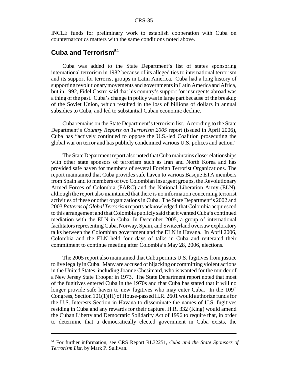INCLE funds for preliminary work to establish cooperation with Cuba on counternarcotics matters with the same conditions noted above.

## **Cuba and Terrorism54**

Cuba was added to the State Department's list of states sponsoring international terrorism in 1982 because of its alleged ties to international terrorism and its support for terrorist groups in Latin America. Cuba had a long history of supporting revolutionary movements and governments in Latin America and Africa, but in 1992, Fidel Castro said that his country's support for insurgents abroad was a thing of the past. Cuba's change in policy was in large part because of the breakup of the Soviet Union, which resulted in the loss of billions of dollars in annual subsidies to Cuba, and led to substantial Cuban economic decline.

Cuba remains on the State Department's terrorism list. According to the State Department's *Country Reports on Terrorism 2005* report (issued in April 2006), Cuba has "actively continued to oppose the U.S.-led Coalition prosecuting the global war on terror and has publicly condemned various U.S. polices and action."

The State Department report also noted that Cuba maintains close relationships with other state sponsors of terrorism such as Iran and North Korea and has provided safe haven for members of several Foreign Terrorist Organizations. The report maintained that Cuba provides safe haven to various Basque ETA members from Spain and to members of two Colombian insurgent groups, the Revolutionary Armed Forces of Colombia (FARC) and the National Liberation Army (ELN), although the report also maintained that there is no information concerning terrorist activities of these or other organizations in Cuba. The State Department's 2002 and 2003 *Patterns of Global Terrorism* reports acknowledged that Colombia acquiesced to this arrangement and that Colombia publicly said that it wanted Cuba's continued mediation with the ELN in Cuba. In December 2005, a group of international facilitators representing Cuba, Norway, Spain, and Switzerland oversaw exploratory talks between the Colombian government and the ELN in Havana. In April 2006, Colombia and the ELN held four days of talks in Cuba and reiterated their commitment to continue meeting after Colombia's May 28, 2006, elections.

The 2005 report also maintained that Cuba permits U.S. fugitives from justice to live legally in Cuba. Many are accused of hijacking or committing violent actions in the United States, including Joanne Chesimard, who is wanted for the murder of a New Jersey State Trooper in 1973. The State Department report noted that most of the fugitives entered Cuba in the 1970s and that Cuba has stated that it will no longer provide safe haven to new fugitives who may enter Cuba. In the  $109<sup>th</sup>$ Congress, Section 101(1)(H) of House-passed H.R. 2601 would authorize funds for the U.S. Interests Section in Havana to disseminate the names of U.S. fugitives residing in Cuba and any rewards for their capture. H.R. 332 (King) would amend the Cuban Liberty and Democratic Solidarity Act of 1996 to require that, in order to determine that a democratically elected government in Cuba exists, the

<sup>54</sup> For further information, see CRS Report RL32251, *Cuba and the State Sponsors of Terrorism List*, by Mark P. Sullivan.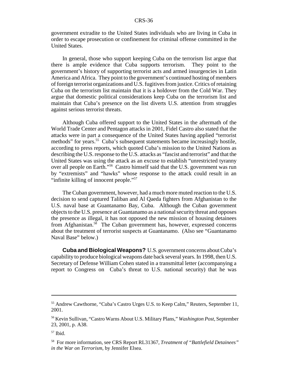government extradite to the United States individuals who are living in Cuba in order to escape prosecution or confinement for criminal offense committed in the United States.

In general, those who support keeping Cuba on the terrorism list argue that there is ample evidence that Cuba supports terrorism. They point to the government's history of supporting terrorist acts and armed insurgencies in Latin America and Africa. They point to the government's continued hosting of members of foreign terrorist organizations and U.S. fugitives from justice. Critics of retaining Cuba on the terrorism list maintain that it is a holdover from the Cold War. They argue that domestic political considerations keep Cuba on the terrorism list and maintain that Cuba's presence on the list diverts U.S. attention from struggles against serious terrorist threats.

Although Cuba offered support to the United States in the aftermath of the World Trade Center and Pentagon attacks in 2001, Fidel Castro also stated that the attacks were in part a consequence of the United States having applied "terrorist methods" for years.<sup>55</sup> Cuba's subsequent statements became increasingly hostile, according to press reports, which quoted Cuba's mission to the United Nations as describing the U.S. response to the U.S. attacks as "fascist and terrorist" and that the United States was using the attack as an excuse to establish "unrestricted tyranny over all people on Earth."56 Castro himself said that the U.S. government was run by "extremists" and "hawks" whose response to the attack could result in an "infinite killing of innocent people."57

The Cuban government, however, had a much more muted reaction to the U.S. decision to send captured Taliban and Al Qaeda fighters from Afghanistan to the U.S. naval base at Guantanamo Bay, Cuba. Although the Cuban government objects to the U.S. presence at Guantanamo as a national security threat and opposes the presence as illegal, it has not opposed the new mission of housing detainees from Afghanistan. $58$  The Cuban government has, however, expressed concerns about the treatment of terrorist suspects at Guantanamo. (Also see "Guantanamo Naval Base" below.)

**Cuba and Biological Weapons?** U.S. government concerns about Cuba's capability to produce biological weapons date back several years. In 1998, then U.S. Secretary of Defense William Cohen stated in a transmittal letter (accompanying a report to Congress on Cuba's threat to U.S. national security) that he was

<sup>55</sup> Andrew Cawthorne, "Cuba's Castro Urges U.S. to Keep Calm," Reuters, September 11, 2001.

<sup>56</sup> Kevin Sullivan, "Castro Warns About U.S. Military Plans," *Washington Post*, September 23, 2001, p. A38.

 $57$  Ibid.

<sup>58</sup> For more information, see CRS Report RL31367, *Treatment of "Battlefield Detainees" in the War on Terrorism*, by Jennifer Elsea.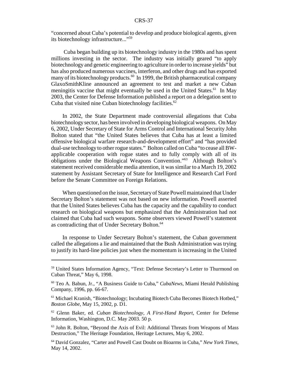"concerned about Cuba's potential to develop and produce biological agents, given its biotechnology infrastructure..."59

 Cuba began building up its biotechnology industry in the 1980s and has spent millions investing in the sector. The industry was initially geared "to apply biotechnology and genetic engineering to agriculture in order to increase yields" but has also produced numerous vaccines, interferon, and other drugs and has exported many of its biotechnology products.<sup>60</sup> In 1999, the British pharmaceutical company GlaxoSmithKline announced an agreement to test and market a new Cuban meningitis vaccine that might eventually be used in the United States.<sup>61</sup> In May 2003, the Center for Defense Information published a report on a delegation sent to Cuba that visited nine Cuban biotechnology facilities. $62$ 

In 2002, the State Department made controversial allegations that Cuba biotechnology sector, has been involved in developing biological weapons. On May 6, 2002, Under Secretary of State for Arms Control and International Security John Bolton stated that "the United States believes that Cuba has at least a limited offensive biological warfare research-and-development effort" and "has provided dual-use technology to other rogue states." Bolton called on Cuba "to cease all BWapplicable cooperation with rogue states and to fully comply with all of its obligations under the Biological Weapons Convention."63 Although Bolton's statement received considerable media attention, it was similar to a March 19, 2002 statement by Assistant Secretary of State for Intelligence and Research Carl Ford before the Senate Committee on Foreign Relations.

When questioned on the issue, Secretary of State Powell maintained that Under Secretary Bolton's statement was not based on new information. Powell asserted that the United States believes Cuba has the capacity and the capability to conduct research on biological weapons but emphasized that the Administration had not claimed that Cuba had such weapons. Some observers viewed Powell's statement as contradicting that of Under Secretary Bolton.<sup>64</sup>

In response to Under Secretary Bolton's statement, the Cuban government called the allegations a lie and maintained that the Bush Administration was trying to justify its hard-line policies just when the momentum is increasing in the United

<sup>59</sup> United States Information Agency, "Text: Defense Secretary's Letter to Thurmond on Cuban Threat," May 6, 1998.

<sup>60</sup> Teo A. Babun, Jr., "A Business Guide to Cuba," *CubaNews*, Miami Herald Publishing Company, 1996, pp. 66-67.

<sup>61</sup> Michael Kranish, "Biotechnology; Incubating Biotech Cuba Becomes Biotech Hotbed," *Boston Globe*, May 15, 2002, p. D1.

<sup>62</sup> Glenn Baker, ed. *Cuban Biotechnology, A First-Hand Report*, Center for Defense Information, Washington, D.C. May 2003. 50 p.

<sup>63</sup> John R. Bolton, "Beyond the Axis of Evil: Additional Threats from Weapons of Mass Destruction," The Heritage Foundation, Heritage Lectures, May 6, 2002.

<sup>64</sup> David Gonzalez, "Carter and Powell Cast Doubt on Bioarms in Cuba," *New York Times*, May 14, 2002.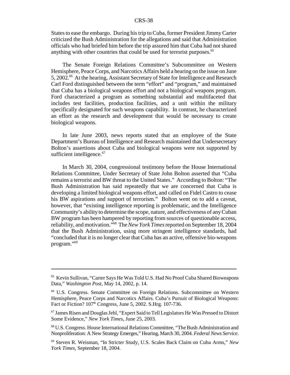States to ease the embargo. During his trip to Cuba, former President Jimmy Carter criticized the Bush Administration for the allegations and said that Administration officials who had briefed him before the trip assured him that Cuba had not shared anything with other countries that could be used for terrorist purposes.<sup>65</sup>

The Senate Foreign Relations Committee's Subcommittee on Western Hemisphere, Peace Corps, and Narcotics Affairs held a hearing on the issue on June 5, 2002.<sup>66</sup> At the hearing, Assistant Secretary of State for Intelligence and Research Carl Ford distinguished between the term "effort" and "program," and maintained that Cuba has a biological weapons effort and not a biological weapons program. Ford characterized a program as something substantial and multifaceted that includes test facilities, production facilities, and a unit within the military specifically designated for such weapons capability. In contrast, he characterized an effort as the research and development that would be necessary to create biological weapons.

In late June 2003, news reports stated that an employee of the State Department's Bureau of Intelligence and Research maintained that Undersecretary Bolton's assertions about Cuba and biological weapons were not supported by sufficient intelligence.<sup>67</sup>

In March 30, 2004, congressional testimony before the House International Relations Committee, Under Secretary of State John Bolton asserted that "Cuba remains a terrorist and BW threat to the United States." According to Bolton: "The Bush Administration has said repeatedly that we are concerned that Cuba is developing a limited biological weapons effort, and called on Fidel Castro to cease his BW aspirations and support of terrorism." Bolton went on to add a caveat, however, that "existing intelligence reporting is problematic, and the Intelligence Community's ability to determine the scope, nature, and effectiveness of any Cuban BW program has been hampered by reporting from sources of questionable access, reliability, and motivation."68 The *New York Times* reported on September 18, 2004 that the Bush Administration, using more stringent intelligence standards, had "concluded that it is no longer clear that Cuba has an active, offensive bio-weapons program."69

<sup>65</sup> Kevin Sullivan, "Carter Says He Was Told U.S. Had No Proof Cuba Shared Bioweapons Data," *Washington Post*, May 14, 2002, p. 14.

<sup>66</sup> U.S. Congress. Senate Committee on Foreign Relations. Subcommittee on Western Hemisphere, Peace Corps and Narcotics Affairs. Cuba's Pursuit of Biological Weapons: Fact or Fiction? 107<sup>th</sup> Congress, June 5, 2002. S.Hrg. 107-736.

<sup>67</sup> James Risen and Douglas Jehl, "Expert Said to Tell Legislators He Was Pressed to Distort Some Evidence," *New York Times*, June 25, 2003.

<sup>68</sup> U.S. Congress. House International Relations Committee, "The Bush Administration and Nonproliferation: A New Strategy Emerges," Hearing, March 30, 2004. *Federal News Service*.

<sup>69</sup> Steven R. Weisman, "In Stricter Study, U.S. Scales Back Claim on Cuba Arms," *New York Times*, September 18, 2004.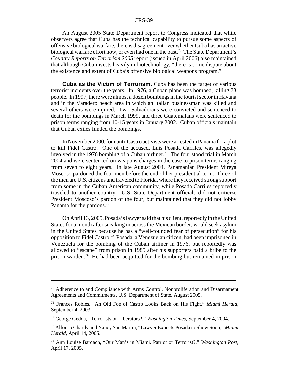An August 2005 State Department report to Congress indicated that while observers agree that Cuba has the technical capability to pursue some aspects of offensive biological warfare, there is disagreement over whether Cuba has an active biological warfare effort now, or even had one in the past.<sup>70</sup> The State Department's *Country Reports on Terrorism 2005* report (issued in April 2006) also maintained that although Cuba invests heavily in biotechnology, "there is some dispute about the existence and extent of Cuba's offensive biological weapons program."

**Cuba as the Victim of Terrorism.** Cuba has been the target of various terrorist incidents over the years. In 1976, a Cuban plane was bombed, killing 73 people. In 1997, there were almost a dozen bombings in the tourist sector in Havana and in the Varadero beach area in which an Italian businessman was killed and several others were injured. Two Salvadorans were convicted and sentenced to death for the bombings in March 1999, and three Guatemalans were sentenced to prison terms ranging from 10-15 years in January 2002. Cuban officials maintain that Cuban exiles funded the bombings.

In November 2000, four anti-Castro activists were arrested in Panama for a plot to kill Fidel Castro. One of the accused, Luis Posada Carriles, was allegedly involved in the 1976 bombing of a Cuban airliner.<sup>71</sup> The four stood trial in March 2004 and were sentenced on weapons charges in the case to prison terms ranging from seven to eight years. In late August 2004, Panamanian President Mireya Moscoso pardoned the four men before the end of her presidential term. Three of the men are U.S. citizens and traveled to Florida, where they received strong support from some in the Cuban American community, while Posada Carriles reportedly traveled to another country. U.S. State Department officials did not criticize President Moscoso's pardon of the four, but maintained that they did not lobby Panama for the pardons.<sup>72</sup>

On April 13, 2005, Posada's lawyer said that his client, reportedly in the United States for a month after sneaking in across the Mexican border, would seek asylum in the United States because he has a "well-founded fear of persecution" for his opposition to Fidel Castro.73 Posada, a Venezuelan citizen, had been imprisoned in Venezuela for the bombing of the Cuban airliner in 1976, but reportedly was allowed to "escape" from prison in 1985 after his supporters paid a bribe to the prison warden.74 He had been acquitted for the bombing but remained in prison

 $70$  Adherence to and Compliance with Arms Control, Nonproliferation and Disarmament Agreements and Commitments, U.S. Department of State, August 2005.

<sup>71</sup> Frances Robles, "An Old Foe of Castro Looks Back on His Fight," *Miami Herald*, September 4, 2003.

<sup>72</sup> George Gedda, "Terrorists or Liberators?," *Washington Times*, September 4, 2004.

<sup>73</sup> Alfonso Chardy and Nancy San Martin, "Lawyer Expects Posada to Show Soon," *Miami Herald*, April 14, 2005.

<sup>74</sup> Ann Louise Bardach, "Our Man's in Miami. Patriot or Terrorist?," *Washington Post*, April 17, 2005.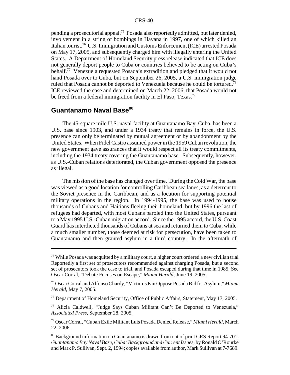pending a prosecutorial appeal.<sup>75</sup> Posada also reportedly admitted, but later denied, involvement in a string of bombings in Havana in 1997, one of which killed an Italian tourist.<sup>76</sup> U.S. Immigration and Customs Enforcement (ICE) arrested Posada on May 17, 2005, and subsequently charged him with illegally entering the United States. A Department of Homeland Security press release indicated that ICE does not generally deport people to Cuba or countries believed to be acting on Cuba's behalf.77 Venezuela requested Posada's extradition and pledged that it would not hand Posada over to Cuba, but on September 26, 2005, a U.S. immigration judge ruled that Posada cannot be deported to Venezuela because he could be tortured.78 ICE reviewed the case and determined on March 22, 2006, that Posada would not be freed from a federal immigration facility in El Paso, Texas.<sup>79</sup>

## Guantanamo Naval Base<sup>80</sup>

The 45-square mile U.S. naval facility at Guantanamo Bay, Cuba, has been a U.S. base since 1903, and under a 1934 treaty that remains in force, the U.S. presence can only be terminated by mutual agreement or by abandonment by the United States. When Fidel Castro assumed power in the 1959 Cuban revolution, the new government gave assurances that it would respect all its treaty commitments, including the 1934 treaty covering the Guantanamo base. Subsequently, however, as U.S.-Cuban relations deteriorated, the Cuban government opposed the presence as illegal.

The mission of the base has changed over time. During the Cold War, the base was viewed as a good location for controlling Caribbean sea lanes, as a deterrent to the Soviet presence in the Caribbean, and as a location for supporting potential military operations in the region. In 1994-1995, the base was used to house thousands of Cubans and Haitians fleeing their homeland, but by 1996 the last of refugees had departed, with most Cubans paroled into the United States, pursuant to a May 1995 U.S.-Cuban migration accord. Since the 1995 accord, the U.S. Coast Guard has interdicted thousands of Cubans at sea and returned them to Cuba, while a much smaller number, those deemed at risk for persecution, have been taken to Guantanamo and then granted asylum in a third country. In the aftermath of

<sup>&</sup>lt;sup>75</sup> While Posada was acquitted by a military court, a higher court ordered a new civilian trial Reportedly a first set of prosecutors recommended against charging Posada, but a second set of prosecutors took the case to trial, and Posada escaped during that time in 1985. See Oscar Corral, "Debate Focuses on Escape," *Miami Herald*, June 19, 2005.

<sup>76</sup> Oscar Corral and Alfonso Chardy, "Victim's Kin Oppose Posada Bid for Asylum," *Miami Herald*, May 7, 2005.

<sup>&</sup>lt;sup>77</sup> Department of Homeland Security, Office of Public Affairs, Statement, May 17, 2005.

<sup>78</sup> Alicia Caldwell, "Judge Says Cuban Militant Can't Be Deported to Venezuela," *Associated Press*, September 28, 2005.

<sup>79</sup> Oscar Corral, "Cuban Exile Militant Luis Posada Denied Release," *Miami Herald*, March 22, 2006.

<sup>80</sup> Background information on Guantanamo is drawn from out of print CRS Report 94-701, *Guantanamo Bay Naval Base, Cuba: Background and Current Issues*, by Ronald O'Rourke and Mark P. Sullivan, Sept. 2, 1994; copies available from author, Mark Sullivan at 7-7689.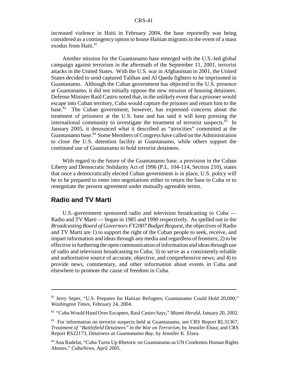increased violence in Haiti in February 2004, the base reportedly was being considered as a contingency option to house Haitian migrants in the event of a mass exodus from Haiti.<sup>81</sup>

Another mission for the Guantanamo base emerged with the U.S.-led global campaign against terrorism in the aftermath of the September 11, 2001, terrorist attacks in the United States. With the U.S. war in Afghanistan in 2001, the United States decided to send captured Taliban and Al Qaeda fighters to be imprisoned in Guantanamo. Although the Cuban government has objected to the U.S. presence at Guantanamo, it did not initially oppose the new mission of housing detainees. Defense Minister Raúl Castro noted that, in the unlikely event that a prisoner would escape into Cuban territory, Cuba would capture the prisoner and return him to the base.82 The Cuban government, however, has expressed concerns about the treatment of prisoners at the U.S. base and has said it will keep pressing the international community to investigate the treatment of terrorist suspects. $83$  In January 2005, it denounced what it described as "atrocities" committed at the Guantanamo base.<sup>84</sup> Some Members of Congress have called on the Administration to close the U.S. detention facility at Guantanamo, while others support the continued use of Guantanamo to hold terrorist detainees.

With regard to the future of the Guantanamo base, a provision in the Cuban Liberty and Democratic Solidarity Act of 1996 (P.L. 104-114, Section 210), states that once a democratically elected Cuban government is in place, U.S. policy will be to be prepared to enter into negotiations either to return the base to Cuba or to renegotiate the present agreement under mutually agreeable terms.

## **Radio and TV Marti**

U.S.-government sponsored radio and television broadcasting to Cuba — Radio and TV Marti — began in 1985 and 1990 respectively. As spelled out in the *Broadcasting Board of Governors FY2007 Budget Request*, the objectives of Radio and TV Marti are 1) to support the right of the Cuban people to seek, receive, and impart information and ideas through any media and regardless of frontiers; 2) to be effective in furthering the open communication of information and ideas through use of radio and television broadcasting to Cuba; 3) to serve as a consistently reliable and authoritative source of accurate, objective, and comprehensive news; and 4) to provide news, commentary, and other information about events in Cuba and elsewhere to promote the cause of freedom in Cuba.

<sup>81</sup> Jerry Seper, "U.S. Prepares for Haitian Refugees; Guantanamo Could Hold 20,000," *Washington Times*, February 24, 2004.

<sup>82 &</sup>quot;Cuba Would Hand Over Escapees, Raul Castro Says," *Miami Herald*, January 20, 2002.

<sup>&</sup>lt;sup>83</sup> For information on terrorist suspects held at Guantanamo, see CRS Report RL31367, *Treatment of "Battlefield Detainees" in the War on Terrorism*, by Jennifer Elsea; and CRS Report RS22173, *Detainees at Guantanamo Bay,* by Jennifer K. Elsea.

<sup>84</sup> Ana Radelat, "Cuba Turns Up Rhetoric on Guantanamo as UN Condemns Human Rights Abuses," *CubaNews*, April 2005.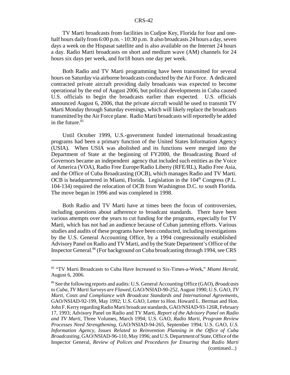TV Marti broadcasts from facilities in Cudjoe Key, Florida for four and onehalf hours daily from 6:00 p.m. - 10:30 p.m. It also broadcasts 24 hours a day, seven days a week on the Hispasat satellite and is also available on the Internet 24 hours a day. Radio Marti broadcasts on short and medium wave (AM) channels for 24 hours six days per week, and for18 hours one day per week.

Both Radio and TV Marti programming have been transmitted for several hours on Saturday via airborne broadcasts conducted by the Air Force. A dedicated contracted private aircraft providing daily broadcasts was expected to become operational by the end of August 2006, but political developments in Cuba caused U.S. officials to begin the broadcasts earlier than expected. U.S. officials announced August 6, 2006, that the private aircraft would be used to transmit TV Marti Monday through Saturday evenings, which will likely replace the broadcasts transmitted by the Air Force plane. Radio Marti broadcasts will reportedly be added in the future. $85$ 

Until October 1999, U.S.-government funded international broadcasting programs had been a primary function of the United States Information Agency (USIA). When USIA was abolished and its functions were merged into the Department of State at the beginning of FY2000, the Broadcasting Board of Governors became an independent agency that included such entities as the Voice of America (VOA), Radio Free Europe/Radio Liberty (RFE/RL), Radio Free Asia, and the Office of Cuba Broadcasting (OCB), which manages Radio and TV Marti. OCB is headquartered in Miami, Florida. Legislation in the 104<sup>th</sup> Congress (P.L. 104-134) required the relocation of OCB from Washington D.C. to south Florida. The move began in 1996 and was completed in 1998.

Both Radio and TV Marti have at times been the focus of controversies, including questions about adherence to broadcast standards. There have been various attempts over the years to cut funding for the programs, especially for TV Marti, which has not had an audience because of Cuban jamming efforts. Various studies and audits of these programs have been conducted, including investigations by the U.S. General Accounting Office, by a 1994 congressionally established Advisory Panel on Radio and TV Marti, and by the State Department's Office of the Inspector General.<sup>86</sup> (For background on Cuba broadcasting through 1994, see CRS

<sup>85 &</sup>quot;TV Marti Broadcasts to Cuba Have Increased to Six-Times-a-Week," *Miami Herald*, August 6, 2006.

<sup>86</sup> See the following reports and audits: U.S. General Accounting Office (GAO), *Broadcasts to Cuba, TV Marti Surveys are Flawed*, GAO/NSIAD-90-252, August 1990; U.S. GAO, *TV Marti, Costs and Compliance with Broadcast Standards and International Agreements*, GAO/NSIAD-92-199, May 1992; U.S. GAO, Letter to Hon. Howard L. Berman and Hon. John F. Kerry regarding Radio Marti broadcast standards, GAO/NSIAD-93-126R, February 17, 1993; Advisory Panel on Radio and TV Marti, *Report of the Advisory Panel on Radio and TV Marti*, Three Volumes, March 1994; U.S. GAO, *Radio Marti, Program Review Processes Need Strengthening*, GAO/NSIAD-94-265, September 1994; U.S. GAO, *U.S. Information Agency, Issues Related to Reinvention Planning in the Office of Cuba Broadcasting*, GAO/NSIAD-96-110, May 1996; and U.S. Department of State, Office of the Inspector General, *Review of Polices and Procedures for Ensuring that Radio Marti* (continued...)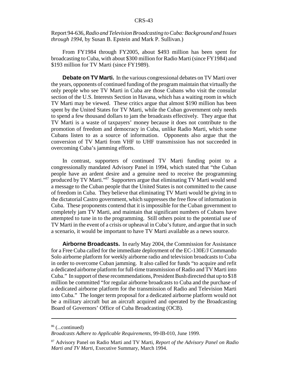#### Report 94-636, *Radio and Television Broadcasting to Cuba: Background and Issues through 1994*, by Susan B. Epstein and Mark P. Sullivan.)

From FY1984 through FY2005, about \$493 million has been spent for broadcasting to Cuba, with about \$300 million for Radio Marti (since FY1984) and \$193 million for TV Marti (since FY1989).

**Debate on TV Marti.** In the various congressional debates on TV Marti over the years, opponents of continued funding of the program maintain that virtually the only people who see TV Marti in Cuba are those Cubans who visit the consular section of the U.S. Interests Section in Havana, which has a waiting room in which TV Marti may be viewed. These critics argue that almost \$190 million has been spent by the United States for TV Marti, while the Cuban government only needs to spend a few thousand dollars to jam the broadcasts effectively. They argue that TV Marti is a waste of taxpayers' money because it does not contribute to the promotion of freedom and democracy in Cuba, unlike Radio Marti, which some Cubans listen to as a source of information. Opponents also argue that the conversion of TV Marti from VHF to UHF transmission has not succeeded in overcoming Cuba's jamming efforts.

In contrast, supporters of continued TV Marti funding point to a congressionally mandated Advisory Panel in 1994, which stated that "the Cuban people have an ardent desire and a genuine need to receive the programming produced by TV Marti."87 Supporters argue that eliminating TV Marti would send a message to the Cuban people that the United States is not committed to the cause of freedom in Cuba. They believe that eliminating TV Marti would be giving in to the dictatorial Castro government, which suppresses the free flow of information in Cuba. These proponents contend that it is impossible for the Cuban government to completely jam TV Marti, and maintain that significant numbers of Cubans have attempted to tune in to the programming. Still others point to the potential use of TV Marti in the event of a crisis or upheaval in Cuba's future, and argue that in such a scenario, it would be important to have TV Marti available as a news source.

**Airborne Broadcasts.** In early May 2004, the Commission for Assistance for a Free Cuba called for the immediate deployment of the EC-130E/J Commando Solo airborne platform for weekly airborne radio and television broadcasts to Cuba in order to overcome Cuban jamming. It also called for funds "to acquire and refit a dedicated airborne platform for full-time transmission of Radio and TV Marti into Cuba." In support of these recommendations, President Bush directed that up to \$18 million be committed "for regular airborne broadcasts to Cuba and the purchase of a dedicated airborne platform for the transmission of Radio and Television Marti into Cuba." The longer term proposal for a dedicated airborne platform would not be a military aircraft but an aircraft acquired and operated by the Broadcasting Board of Governors' Office of Cuba Broadcasting (OCB).

<sup>86 (...</sup>continued)

*Broadcasts Adhere to Applicable Requirements*, 99-IB-010, June 1999.

<sup>87</sup> Advisory Panel on Radio Marti and TV Marti, *Report of the Advisory Panel on Radio Marti and TV Marti*, Executive Summary, March 1994.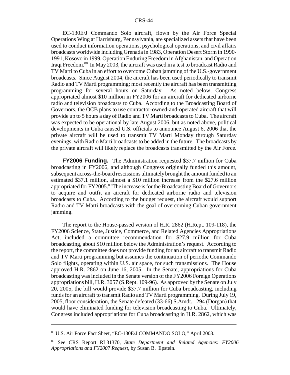EC-130E/J Commando Solo aircraft, flown by the Air Force Special Operations Wing at Harrisburg, Pennsylvania, are specialized assets that have been used to conduct information operations, psychological operations, and civil affairs broadcasts worldwide including Grenada in 1983, Operation Desert Storm in 1990- 1991, Kosovo in 1999, Operation Enduring Freedom in Afghanistan, and Operation Iraqi Freedom.88 In May 2003, the aircraft was used in a test to broadcast Radio and TV Marti to Cuba in an effort to overcome Cuban jamming of the U.S.-government broadcasts. Since August 2004, the aircraft has been used periodically to transmit Radio and TV Marti programming; most recently the aircraft has been transmitting programming for several hours on Saturday. As noted below, Congress appropriated almost \$10 million in FY2006 for an aircraft for dedicated airborne radio and television broadcasts to Cuba. According to the Broadcasting Board of Governors, the OCB plans to use contractor-owned-and-operated aircraft that will provide up to 5 hours a day of Radio and TV Marti broadcasts to Cuba. The aircraft was expected to be operational by late August 2006, but as noted above, political developments in Cuba caused U.S. officials to announce August 6, 2006 that the private aircraft will be used to transmit TV Marti Monday through Saturday evenings, with Radio Marti broadcasts to be added in the future. The broadcasts by the private aircraft will likely replace the broadcasts transmitted by the Air Force.

**FY2006 Funding.** The Administration requested \$37.7 million for Cuba broadcasting in FY2006, and although Congress originally funded this amount, subsequent across-the-board rescissions ultimately brought the amount funded to an estimated \$37.1 million, almost a \$10 million increase from the \$27.6 million appropriated for FY2005.<sup>89</sup> The increase is for the Broadcasting Board of Governors to acquire and outfit an aircraft for dedicated airborne radio and television broadcasts to Cuba. According to the budget request, the aircraft would support Radio and TV Marti broadcasts with the goal of overcoming Cuban government jamming.

The report to the House-passed version of H.R. 2862 (H.Rept. 109-118), the FY2006 Science, State, Justice, Commerce, and Related Agencies Appropriations Act, included a committee recommendation for \$27.9 million for Cuba broadcasting, about \$10 million below the Administration's request. According to the report, the committee does not provide funding for an aircraft to transmit Radio and TV Marti programming but assumes the continuation of periodic Commando Solo flights, operating within U.S. air space, for such transmissions. The House approved H.R. 2862 on June 16, 2005. In the Senate, appropriations for Cuba broadcasting was included in the Senate version of the FY2006 Foreign Operations appropriations bill, H.R. 3057 (S.Rept. 109-96). As approved by the Senate on July 20, 2005, the bill would provide \$37.7 million for Cuba broadcasting, including funds for an aircraft to transmit Radio and TV Marti programming. During July 19, 2005, floor consideration, the Senate defeated (33-66) S.Amdt. 1294 (Dorgan) that would have eliminated funding for television broadcasting to Cuba. Ultimately, Congress included appropriations for Cuba broadcasting in H.R. 2862, which was

<sup>88</sup> U.S. Air Force Fact Sheet, "EC-130E/J COMMANDO SOLO," April 2003.

<sup>89</sup> See CRS Report RL31370, *State Department and Related Agencies: FY2006 Appropriations and FY2007 Request*, by Susan B. Epstein.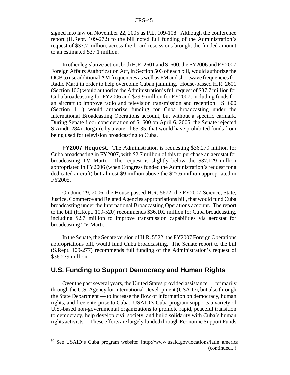signed into law on November 22, 2005 as P.L. 109-108. Although the conference report (H.Rept. 109-272) to the bill noted full funding of the Administration's request of \$37.7 million, across-the-board rescissions brought the funded amount to an estimated \$37.1 million.

In other legislative action, both H.R. 2601 and S. 600, the FY2006 and FY2007 Foreign Affairs Authorization Act, in Section 503 of each bill, would authorize the OCB to use additional AM frequencies as well as FM and shortwave frequencies for Radio Marti in order to help overcome Cuban jamming. House-passed H.R. 2601 (Section 106) would authorize the Administration's full request of \$37.7 million for Cuba broadcasting for FY2006 and \$29.9 million for FY2007, including funds for an aircraft to improve radio and television transmission and reception. S. 600 (Section 111) would authorize funding for Cuba broadcasting under the International Broadcasting Operations account, but without a specific earmark. During Senate floor consideration of S. 600 on April 6, 2005, the Senate rejected S.Amdt. 284 (Dorgan), by a vote of 65-35, that would have prohibited funds from being used for television broadcasting to Cuba.

**FY2007 Request.** The Administration is requesting \$36.279 million for Cuba broadcasting in FY2007, with \$2.7 million of this to purchase an aerostat for broadcasting TV Marti. The request is slightly below the \$37.129 million appropriated in FY2006 (when Congress funded the Administration's request for a dedicated aircraft) but almost \$9 million above the \$27.6 million appropriated in FY2005.

On June 29, 2006, the House passed H.R. 5672, the FY2007 Science, State, Justice, Commerce and Related Agencies appropriations bill, that would fund Cuba broadcasting under the International Broadcasting Operations account. The report to the bill (H.Rept. 109-520) recommends \$36.102 million for Cuba broadcasting, including \$2.7 million to improve transmission capabilities via aerostat for broadcasting TV Marti.

In the Senate, the Senate version of H.R. 5522, the FY2007 Foreign Operations appropriations bill, would fund Cuba broadcasting. The Senate report to the bill (S.Rept. 109-277) recommends full funding of the Administration's request of \$36.279 million.

### **U.S. Funding to Support Democracy and Human Rights**

Over the past several years, the United States provided assistance — primarily through the U.S. Agency for International Development (USAID), but also through the State Department — to increase the flow of information on democracy, human rights, and free enterprise to Cuba. USAID's Cuba program supports a variety of U.S.-based non-governmental organizations to promote rapid, peaceful transition to democracy, help develop civil society, and build solidarity with Cuba's human rights activists.<sup>90</sup> These efforts are largely funded through Economic Support Funds

<sup>90</sup> See USAID's Cuba program website: [http://www.usaid.gov/locations/latin\_america (continued...)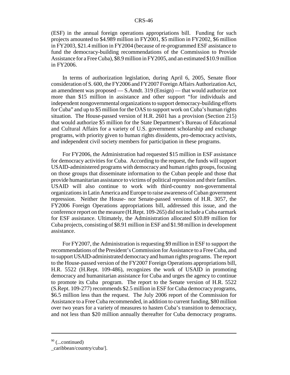(ESF) in the annual foreign operations appropriations bill. Funding for such projects amounted to \$4.989 million in FY2001, \$5 million in FY2002, \$6 million in FY2003, \$21.4 million in FY2004 (because of re-programmed ESF assistance to fund the democracy-building recommendations of the Commission to Provide Assistance for a Free Cuba), \$8.9 million in FY2005, and an estimated \$10.9 million in FY2006.

In terms of authorization legislation, during April 6, 2005, Senate floor consideration of S. 600, the FY2006 and FY2007 Foreign Affairs Authorization Act, an amendment was proposed — S.Amdt. 319 (Ensign) — that would authorize not more than \$15 million in assistance and other support "for individuals and independent nongovernmental organizations to support democracy-building efforts for Cuba" and up to \$5 million for the OAS to support work on Cuba's human rights situation. The House-passed version of H.R. 2601 has a provision (Section 215) that would authorize \$5 million for the State Department's Bureau of Educational and Cultural Affairs for a variety of U.S. government scholarship and exchange programs, with priority given to human rights dissidents, pro-democracy activists, and independent civil society members for participation in these programs.

For FY2006, the Administration had requested \$15 million in ESF assistance for democracy activities for Cuba. According to the request, the funds will support USAID-administered programs with democracy and human rights groups, focusing on those groups that disseminate information to the Cuban people and those that provide humanitarian assistance to victims of political repression and their families. USAID will also continue to work with third-country non-governmental organizations in Latin America and Europe to raise awareness of Cuban government repression. Neither the House- nor Senate-passed versions of H.R. 3057, the FY2006 Foreign Operations appropriations bill, addressed this issue, and the conference report on the measure (H.Rept. 109-265) did not include a Cuba earmark for ESF assistance. Ultimately, the Administration allocated \$10.89 million for Cuba projects, consisting of \$8.91 million in ESF and \$1.98 million in development assistance.

For FY2007, the Administration is requesting \$9 million in ESF to support the recommendations of the President's Commission for Assistance to a Free Cuba, and to support USAID-administrated democracy and human rights programs. The report to the House-passed version of the FY2007 Foreign Operations appropriations bill, H.R. 5522 (H.Rept. 109-486), recognizes the work of USAID in promoting democracy and humanitarian assistance for Cuba and urges the agency to continue to promote its Cuba program. The report to the Senate version of H.R. 5522 (S.Rept. 109-277) recommends \$2.5 million in ESF for Cuba democracy programs, \$6.5 million less than the request. The July 2006 report of the Commission for Assistance to a Free Cuba recommended, in addition to current funding, \$80 million over two years for a variety of measures to hasten Cuba's transition to democracy, and not less than \$20 million annually thereafter for Cuba democracy programs.

 $90$  (...continued)

\_caribbean/country/cuba/].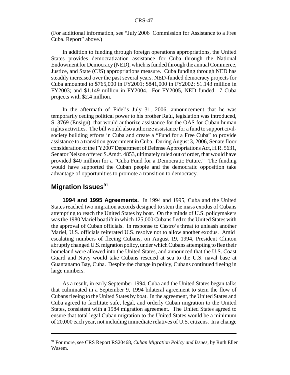(For additional information, see "July 2006 Commission for Assistance to a Free Cuba. Report" above.)

In addition to funding through foreign operations appropriations, the United States provides democratization assistance for Cuba through the National Endowment for Democracy (NED), which is funded through the annual Commerce, Justice, and State (CJS) appropriations measure. Cuba funding through NED has steadily increased over the past several years. NED-funded democracy projects for Cuba amounted to \$765,000 in FY2001; \$841,000 in FY2002; \$1.143 million in FY2003; and \$1.149 million in FY2004. For FY2005, NED funded 17 Cuba projects with \$2.4 million.

In the aftermath of Fidel's July 31, 2006, announcement that he was temporarily ceding political power to his brother Raúl, legislation was introduced, S. 3769 (Ensign), that would authorize assistance for the OAS for Cuban human rights activities. The bill would also authorize assistance for a fund to support civilsociety building efforts in Cuba and create a "Fund for a Free Cuba" to provide assistance to a transition government in Cuba. During August 3, 2006, Senate floor consideration of the FY2007 Department of Defense Appropriations Act, H.R. 5631, Senator Nelson offered S.Amdt. 4853, ultimately ruled out of order, that would have provided \$40 million for a "Cuba Fund for a Democratic Future." The funding would have supported the Cuban people and the democratic opposition take advantage of opportunities to promote a transition to democracy.

## **Migration Issues<sup>91</sup>**

**1994 and 1995 Agreements.** In 1994 and 1995, Cuba and the United States reached two migration accords designed to stem the mass exodus of Cubans attempting to reach the United States by boat. On the minds of U.S. policymakers was the 1980 Mariel boatlift in which 125,000 Cubans fled to the United States with the approval of Cuban officials. In response to Castro's threat to unleash another Mariel, U.S. officials reiterated U.S. resolve not to allow another exodus. Amid escalating numbers of fleeing Cubans, on August 19, 1994, President Clinton abruptly changed U.S. migration policy, under which Cubans attempting to flee their homeland were allowed into the United States, and announced that the U.S. Coast Guard and Navy would take Cubans rescued at sea to the U.S. naval base at Guantanamo Bay, Cuba. Despite the change in policy, Cubans continued fleeing in large numbers.

As a result, in early September 1994, Cuba and the United States began talks that culminated in a September 9, 1994 bilateral agreement to stem the flow of Cubans fleeing to the United States by boat. In the agreement, the United States and Cuba agreed to facilitate safe, legal, and orderly Cuban migration to the United States, consistent with a 1984 migration agreement. The United States agreed to ensure that total legal Cuban migration to the United States would be a minimum of 20,000 each year, not including immediate relatives of U.S. citizens. In a change

<sup>91</sup> For more, see CRS Report RS20468, *Cuban Migration Policy and Issues*, by Ruth Ellen Wasem.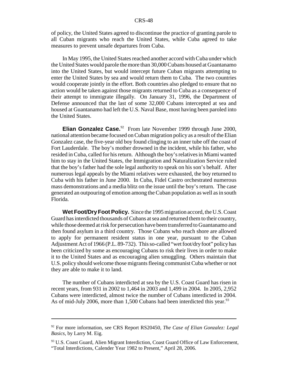of policy, the United States agreed to discontinue the practice of granting parole to all Cuban migrants who reach the United States, while Cuba agreed to take measures to prevent unsafe departures from Cuba.

In May 1995, the United States reached another accord with Cuba under which the United States would parole the more than 30,000 Cubans housed at Guantanamo into the United States, but would intercept future Cuban migrants attempting to enter the United States by sea and would return them to Cuba. The two countries would cooperate jointly in the effort. Both countries also pledged to ensure that no action would be taken against those migrants returned to Cuba as a consequence of their attempt to immigrate illegally. On January 31, 1996, the Department of Defense announced that the last of some 32,000 Cubans intercepted at sea and housed at Guantanamo had left the U.S. Naval Base, most having been paroled into the United States.

**Elian Gonzalez Case.**<sup>92</sup> From late November 1999 through June 2000, national attention became focused on Cuban migration policy as a result of the Elian Gonzalez case, the five-year old boy found clinging to an inner tube off the coast of Fort Lauderdale. The boy's mother drowned in the incident, while his father, who resided in Cuba, called for his return. Although the boy's relatives in Miami wanted him to stay in the United States, the Immigration and Naturalization Service ruled that the boy's father had the sole legal authority to speak on his son's behalf. After numerous legal appeals by the Miami relatives were exhausted, the boy returned to Cuba with his father in June 2000. In Cuba, Fidel Castro orchestrated numerous mass demonstrations and a media blitz on the issue until the boy's return. The case generated an outpouring of emotion among the Cuban population as well as in south Florida.

**Wet Foot/Dry Foot Policy.** Since the 1995 migration accord, the U.S. Coast Guard has interdicted thousands of Cubans at sea and returned them to their country, while those deemed at risk for persecution have been transferred to Guantanamo and then found asylum in a third country. Those Cubans who reach shore are allowed to apply for permanent resident status in one year, pursuant to the Cuban Adjustment Act of 1966 (P.L. 89-732). This so-called "wet foot/dry foot" policy has been criticized by some as encouraging Cubans to risk their lives in order to make it to the United States and as encouraging alien smuggling. Others maintain that U.S. policy should welcome those migrants fleeing communist Cuba whether or not they are able to make it to land.

The number of Cubans interdicted at sea by the U.S. Coast Guard has risen in recent years, from 931 in 2002 to 1,464 in 2003 and 1,499 in 2004. In 2005, 2,952 Cubans were interdicted, almost twice the number of Cubans interdicted in 2004. As of mid-July 2006, more than 1,500 Cubans had been interdicted this year.<sup>93</sup>

<sup>92</sup> For more information, see CRS Report RS20450, *The Case of Elian Gonzalez: Legal Basics*, by Larry M. Eig.

<sup>&</sup>lt;sup>93</sup> U.S. Coast Guard, Alien Migrant Interdiction, Coast Guard Office of Law Enforcement, "Total Interdictions, Calender Year 1982 to Present," April 28, 2006.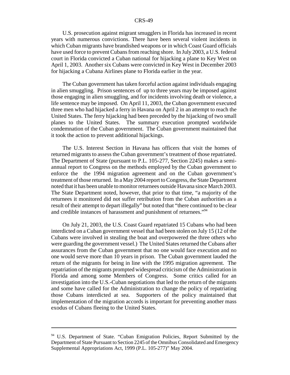U.S. prosecution against migrant smugglers in Florida has increased in recent years with numerous convictions. There have been several violent incidents in which Cuban migrants have brandished weapons or in which Coast Guard officials have used force to prevent Cubans from reaching shore. In July 2003, a U.S. federal court in Florida convicted a Cuban national for hijacking a plane to Key West on April 1, 2003. Another six Cubans were convicted in Key West in December 2003 for hijacking a Cubana Airlines plane to Florida earlier in the year.

The Cuban government has taken forceful action against individuals engaging in alien smuggling. Prison sentences of up to three years may be imposed against those engaging in alien smuggling, and for incidents involving death or violence, a life sentence may be imposed. On April 11, 2003, the Cuban government executed three men who had hijacked a ferry in Havana on April 2 in an attempt to reach the United States. The ferry hijacking had been preceded by the hijacking of two small planes to the United States. The summary execution prompted worldwide condemnation of the Cuban government. The Cuban government maintained that it took the action to prevent additional hijackings.

The U.S. Interest Section in Havana has officers that visit the homes of returned migrants to assess the Cuban government's treatment of those repatriated. The Department of State (pursuant to P.L. 105-277, Section 2245) makes a semiannual report to Congress on the methods employed by the Cuban government to enforce the the 1994 migration agreement and on the Cuban government's treatment of those returned. In a May 2004 report to Congress, the State Department noted that it has been unable to monitor returnees outside Havana since March 2003. The State Department noted, however, that prior to that time, "a majority of the returnees it monitored did not suffer retribution from the Cuban authorities as a result of their attempt to depart illegally" but noted that "there continued to be clear and credible instances of harassment and punishment of returnees."94

On July 21, 2003, the U.S. Coast Guard repatriated 15 Cubans who had been interdicted on a Cuban government vessel that had been stolen on July 15 (12 of the Cubans were involved in stealing the boat and overpowered the three others who were guarding the government vessel.) The United States returned the Cubans after assurances from the Cuban government that no one would face execution and no one would serve more than 10 years in prison. The Cuban government lauded the return of the migrants for being in line with the 1995 migration agreement. The repatriation of the migrants prompted widespread criticism of the Administration in Florida and among some Members of Congress. Some critics called for an investigation into the U.S.-Cuban negotiations that led to the return of the migrants and some have called for the Administration to change the policy of repatriating those Cubans interdicted at sea. Supporters of the policy maintained that implementation of the migration accords is important for preventing another mass exodus of Cubans fleeing to the United States.

<sup>&</sup>lt;sup>94</sup> U.S. Department of State. "Cuban Emigration Policies, Report Submitted by the Department of State Pursuant to Section 2245 of the Omnibus Consolidated and Emergency Supplemental Appropriations Act, 1999 (P.L. 105-277)" May 2004.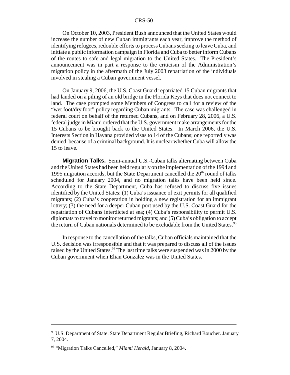On October 10, 2003, President Bush announced that the United States would increase the number of new Cuban immigrants each year, improve the method of identifying refugees, redouble efforts to process Cubans seeking to leave Cuba, and initiate a public information campaign in Florida and Cuba to better inform Cubans of the routes to safe and legal migration to the United States. The President's announcement was in part a response to the criticism of the Administration's migration policy in the aftermath of the July 2003 repatriation of the individuals involved in stealing a Cuban government vessel.

On January 9, 2006, the U.S. Coast Guard repatriated 15 Cuban migrants that had landed on a piling of an old bridge in the Florida Keys that does not connect to land. The case prompted some Members of Congress to call for a review of the "wet foot/dry foot" policy regarding Cuban migrants. The case was challenged in federal court on behalf of the returned Cubans, and on February 28, 2006, a U.S. federal judge in Miami ordered that the U.S. government make arrangements for the 15 Cubans to be brought back to the United States. In March 2006, the U.S. Interests Section in Havana provided visas to 14 of the Cubans; one reportedly was denied because of a criminal background. It is unclear whether Cuba will allow the 15 to leave.

**Migration Talks.** Semi-annual U.S.-Cuban talks alternating between Cuba and the United States had been held regularly on the implementation of the 1994 and 1995 migration accords, but the State Department cancelled the  $20<sup>th</sup>$  round of talks scheduled for January 2004, and no migration talks have been held since. According to the State Department, Cuba has refused to discuss five issues identified by the United States: (1) Cuba's issuance of exit permits for all qualified migrants; (2) Cuba's cooperation in holding a new registration for an immigrant lottery; (3) the need for a deeper Cuban port used by the U.S. Coast Guard for the repatriation of Cubans interdicted at sea; (4) Cuba's responsibility to permit U.S. diplomats to travel to monitor returned migrants; and (5) Cuba's obligation to accept the return of Cuban nationals determined to be excludable from the United States.<sup>95</sup>

In response to the cancellation of the talks, Cuban officials maintained that the U.S. decision was irresponsible and that it was prepared to discuss all of the issues raised by the United States.<sup>96</sup> The last time talks were suspended was in 2000 by the Cuban government when Elian Gonzalez was in the United States.

<sup>&</sup>lt;sup>95</sup> U.S. Department of State. State Department Regular Briefing, Richard Boucher. January 7, 2004.

<sup>96 &</sup>quot;Migration Talks Cancelled," *Miami Herald*, January 8, 2004.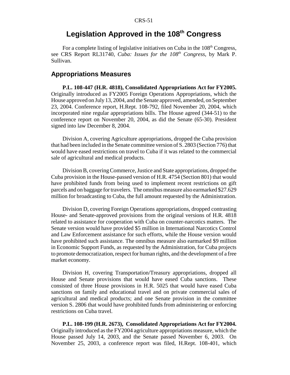# **Legislation Approved in the 108th Congress**

For a complete listing of legislative initiatives on Cuba in the  $108<sup>th</sup>$  Congress, see CRS Report RL31740, *Cuba: Issues for the 108th Congress*, by Mark P. Sullivan.

## **Appropriations Measures**

**P.L. 108-447 (H.R. 4818), Consolidated Appropriations Act for FY2005.** Originally introduced as FY2005 Foreign Operations Appropriations, which the House approved on July 13, 2004, and the Senate approved, amended, on September 23, 2004. Conference report, H.Rept. 108-792, filed November 20, 2004, which incorporated nine regular appropriations bills. The House agreed (344-51) to the conference report on November 20, 2004, as did the Senate (65-30). President signed into law December 8, 2004.

Division A, covering Agriculture appropriations, dropped the Cuba provision that had been included in the Senate committee version of S. 2803 (Section 776) that would have eased restrictions on travel to Cuba if it was related to the commercial sale of agricultural and medical products.

Division B, covering Commerce, Justice and State appropriations, dropped the Cuba provision in the House-passed version of H.R. 4754 (Section 801) that would have prohibited funds from being used to implement recent restrictions on gift parcels and on baggage for travelers. The omnibus measure also earmarked \$27.629 million for broadcasting to Cuba, the full amount requested by the Administration.

Division D, covering Foreign Operations appropriations, dropped contrasting House- and Senate-approved provisions from the original versions of H.R. 4818 related to assistance for cooperation with Cuba on counter-narcotics matters. The Senate version would have provided \$5 million in International Narcotics Control and Law Enforcement assistance for such efforts, while the House version would have prohibited such assistance. The omnibus measure also earmarked \$9 million in Economic Support Funds, as requested by the Administration, for Cuba projects to promote democratization, respect for human rights, and the development of a free market economy.

Division H, covering Transportation/Treasury appropriations, dropped all House and Senate provisions that would have eased Cuba sanctions. These consisted of three House provisions in H.R. 5025 that would have eased Cuba sanctions on family and educational travel and on private commercial sales of agricultural and medical products; and one Senate provision in the committee version S. 2806 that would have prohibited funds from administering or enforcing restrictions on Cuba travel.

**P.L. 108-199 (H.R. 2673), Consolidated Appropriations Act for FY2004.** Originally introduced as the FY2004 agriculture appropriations measure, which the House passed July 14, 2003, and the Senate passed November 6, 2003. On November 25, 2003, a conference report was filed, H.Rept. 108-401, which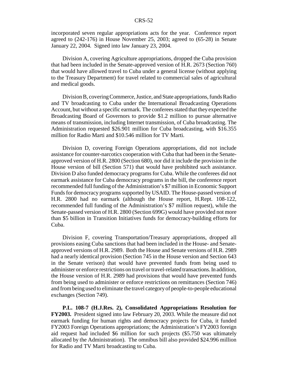incorporated seven regular appropriations acts for the year. Conference report agreed to (242-176) in House November 25, 2003; agreed to (65-28) in Senate January 22, 2004. Signed into law January 23, 2004.

Division A, covering Agriculture appropriations, dropped the Cuba provision that had been included in the Senate-approved version of H.R. 2673 (Section 760) that would have allowed travel to Cuba under a general license (without applying to the Treasury Department) for travel related to commercial sales of agricultural and medical goods.

Division B, covering Commerce, Justice, and State appropriations, funds Radio and TV broadcasting to Cuba under the International Broadcasting Operations Account, but without a specific earmark. The conferees stated that they expected the Broadcasting Board of Governors to provide \$1.2 million to pursue alternative means of transmission, including Internet transmission, of Cuba broadcasting. The Administration requested \$26.901 million for Cuba broadcasting, with \$16.355 million for Radio Marti and \$10.546 million for TV Marti.

Division D, covering Foreign Operations appropriations, did not include assistance for counter-narcotics cooperation with Cuba that had been in the Senateapproved version of H.R. 2800 (Section 680), nor did it include the provision in the House version of bill (Section 571) that would have prohibited such assistance. Division D also funded democracy programs for Cuba. While the conferees did not earmark assistance for Cuba democracy programs in the bill, the conference report recommended full funding of the Administration's \$7 million in Economic Support Funds for democracy programs supported by USAID. The House-passed version of H.R. 2800 had no earmark (although the House report, H.Rept. 108-122, recommended full funding of the Administration's \$7 million request), while the Senate-passed version of H.R. 2800 (Section 699G) would have provided not more than \$5 billion in Transition Initiatives funds for democracy-building efforts for Cuba.

Division F, covering Transportation/Treasury appropriations, dropped all provisions easing Cuba sanctions that had been included in the House- and Senateapproved versions of H.R. 2989. Both the House and Senate versions of H.R. 2989 had a nearly identical provision (Section 745 in the House version and Section 643 in the Senate verison) that would have prevented funds from being used to administer or enforce restrictions on travel or travel-related transactions. In addition, the House version of H.R. 2989 had provisions that would have prevented funds from being used to administer or enforce restrictions on remittances (Section 746) and from being used to eliminate the travel category of people-to-people educational exchanges (Section 749).

**P.L. 108-7 (H.J.Res. 2), Consolidated Appropriations Resolution for FY2003.** President signed into law February 20, 2003. While the measure did not earmark funding for human rights and democracy projects for Cuba, it funded FY2003 Foreign Operations appropriations; the Administration's FY2003 foreign aid request had included \$6 million for such projects (\$5.750 was ultimately allocated by the Administration). The omnibus bill also provided \$24.996 million for Radio and TV Marti broadcasting to Cuba.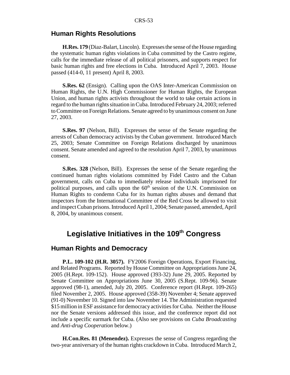#### **Human Rights Resolutions**

**H.Res. 179** (Diaz-Balart, Lincoln). Expresses the sense of the House regarding the systematic human rights violations in Cuba committed by the Castro regime, calls for the immediate release of all political prisoners, and supports respect for basic human rights and free elections in Cuba. Introduced April 7, 2003. House passed (414-0, 11 present) April 8, 2003.

**S.Res. 62** (Ensign). Calling upon the OAS Inter-American Commission on Human Rights, the U.N. High Commissioner for Human Rights, the European Union, and human rights activists throughout the world to take certain actions in regard to the human rights situation in Cuba. Introduced February 24, 2003; referred to Committee on Foreign Relations. Senate agreed to by unanimous consent on June 27, 2003.

**S.Res. 97** (Nelson, Bill). Expresses the sense of the Senate regarding the arrests of Cuban democracy activists by the Cuban government. Introduced March 25, 2003; Senate Committee on Foreign Relations discharged by unanimous consent. Senate amended and agreed to the resolution April 7, 2003, by unanimous consent.

**S.Res. 328** (Nelson, Bill). Expresses the sense of the Senate regarding the continued human rights violations committed by Fidel Castro and the Cuban government, calls on Cuba to immediately release individuals imprisoned for political purposes, and calls upon the  $60<sup>th</sup>$  session of the U.N. Commission on Human Rights to condemn Cuba for its human rights abuses and demand that inspectors from the International Committee of the Red Cross be allowed to visit and inspect Cuban prisons. Introduced April 1, 2004; Senate passed, amended, April 8, 2004, by unanimous consent.

# Legislative Initiatives in the 109<sup>th</sup> Congress

## **Human Rights and Democracy**

**P.L. 109-102 (H.R. 3057).** FY2006 Foreign Operations, Export Financing, and Related Programs. Reported by House Committee on Appropriations June 24, 2005 (H.Rept. 109-152). House approved (393-32) June 29, 2005. Reported by Senate Committee on Appropriations June 30, 2005 (S.Rept. 109-96). Senate approved (98-1), amended, July 20, 2005. Conference report (H.Rept. 109-265) filed November 2, 2005. House approved (358-39) November 4; Senate approved (91-0) November 10. Signed into law November 14. The Administration requested \$15 million in ESF assistance for democracy activities for Cuba. Neither the House nor the Senate versions addressed this issue, and the conference report did not include a specific earmark for Cuba. (Also see provisions on *Cuba Broadcasting* and *Anti-drug Cooperation* below.)

**H.Con.Res. 81 (Menendez).** Expresses the sense of Congress regarding the two-year anniversary of the human rights crackdown in Cuba. Introduced March 2,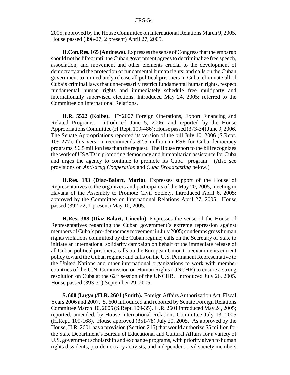2005; approved by the House Committee on International Relations March 9, 2005. House passed (398-27, 2 present) April 27, 2005.

**H.Con.Res. 165 (Andrews).** Expresses the sense of Congress that the embargo should not be lifted until the Cuban government agrees to decriminalize free speech, association, and movement and other elements crucial to the development of democracy and the protection of fundamental human rights; and calls on the Cuban government to immediately release all political prisoners in Cuba, eliminate all of Cuba's criminal laws that unnecessarily restrict fundamental human rights, respect fundamental human rights and immediately schedule free multiparty and internationally supervised elections. Introduced May 24, 2005; referred to the Committee on International Relations.

**H.R. 5522 (Kolbe).** FY2007 Foreign Operations, Export Financing and Related Programs. Introduced June 5, 2006, and reported by the House Appropriations Committee (H.Rept. 109-486); House passed (373-34) June 9, 2006. The Senate Appropriations reported its version of the bill July 10, 2006 (S.Rept. 109-277); this version recommends \$2.5 million in ESF for Cuba democracy programs, \$6.5 million less than the request. The House report to the bill recognizes the work of USAID in promoting democracy and humanitarian assistance for Cuba and urges the agency to continue to promote its Cuba program. (Also see provisions on *Anti-drug Cooperation* and *Cuba Broadcasting* below.)

**H.Res. 193 (Diaz-Balart, Mario)**. Expresses support of the House of Representatives to the organizers and participants of the May 20, 2005, meeting in Havana of the Assembly to Promote Civil Society. Introduced April 6, 2005; approved by the Committee on International Relations April 27, 2005. House passed (392-22, 1 present) May 10, 2005.

**H.Res. 388 (Diaz-Balart, Lincoln).** Expresses the sense of the House of Representatives regarding the Cuban government's extreme repression against members of Cuba's pro-democracy movement in July 2005; condemns gross human rights violations committed by the Cuban regime; calls on the Secretary of State to initiate an international solidarity campaign on behalf of the immediate release of all Cuban political prisoners; calls on the European Union to reexamine its current policy toward the Cuban regime; and calls on the U.S. Permanent Representative to the United Nations and other international organizations to work with member countries of the U.N. Commission on Human Rights (UNCHR) to ensure a strong resolution on Cuba at the  $62<sup>nd</sup>$  session of the UNCHR. Introduced July 26, 2005. House passed (393-31) September 29, 2005.

**S. 600 (Lugar)/H.R. 2601 (Smith).** Foreign Affairs Authorization Act, Fiscal Years 2006 and 2007. S. 600 introduced and reported by Senate Foreign Relations Committee March 10, 2005 (S.Rept. 109-35). H.R. 2601 introduced May 24, 2005; reported, amended, by House International Relations Committee July 13, 2005 (H.Rept. 109-168). House approved (351-78) July 20, 2005. As approved by the House, H.R. 2601 has a provision (Section 215) that would authorize \$5 million for the State Department's Bureau of Educational and Cultural Affairs for a variety of U.S. government scholarship and exchange programs, with priority given to human rights dissidents, pro-democracy activists, and independent civil society members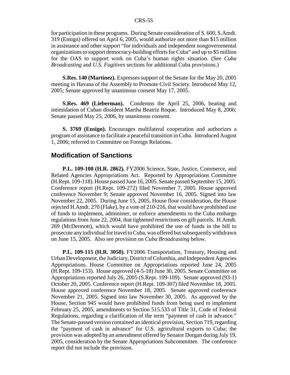for participation in these programs. During Senate consideration of S. 600, S.Amdt. 319 (Ensign) offered on April 6, 2005, would authorize not more than \$15 million in assistance and other support "for individuals and independent nongovernmental organizations to support democracy-building efforts for Cuba" and up to \$5 million for the OAS to support work on Cuba's human rights situation. (See *Cuba Broadcasting* and *U.S. Fugitives* sections for additional Cuba provisions.)

**S.Res. 140 (Martinez).** Expresses support of the Senate for the May 20, 2005 meeting in Havana of the Assembly to Promote Civil Society. Introduced May 12, 2005; Senate approved by unanimous consent May 17, 2005.

**S.Res. 469 (Lieberman).** Condemns the April 25, 2006, beating and intimidation of Cuban dissident Martha Beatriz Roque. Introduced May 8, 2006; Senate passed May 25, 2006, by unanimous consent.

**S. 3769 (Ensign).** Encourages multilateral cooperation and authorizes a program of assistance to facilitate a peaceful transition in Cuba. Introduced August 1, 2006; referred to Committee on Foreign Relations.

## **Modification of Sanctions**

**P.L. 109-108 (H.R. 2862).** FY2006 Science, State, Justice, Commerce, and Related Agencies Appropriations Act. Reported by Appropriations Committee (H.Rept. 109-118). House passed June 16, 2005. Senate passed September 15, 2005. Conference report (H.Rept. 109-272) filed November 7, 2005. House approved conference November 9; Senate approved November 16, 2005. Signed into law November 22, 2005. During June 15, 2005, House floor consideration, the House rejected H.Amdt. 270 (Flake), by a vote of 210-216, that would have prohibited use of funds to implement, administer, or enforce amendments to the Cuba embargo regulations from June 22, 2004, that tightened restrictions on gift parcels. H.Amdt. 269 (McDermott), which would have prohibited the use of funds in the bill to prosecute any individual for travel to Cuba, was offered but subsequently withdrawn on June 15, 2005. Also see provision on *Cuba Broadcasting* below.

**P.L. 109-115 (H.R. 3058).** FY2006 Transportation, Treasury, Housing and Urban Development, the Judiciary, District of Columbia, and Independent Agencies Appropriations. House Committee on Appropriations reported June 24, 2005 (H.Rept. 109-153). House approved (4-5-18) June 30, 2005. Senate Committee on Appropriations reported July 26, 2005 (S.Rept. 109-109). Senate approved (93-1) October 20, 2005. Conference report (H.Rept. 109-307) filed November 18, 2005. House approved conference November 18, 2005. Senate approved conference November 21, 2005. Signed into law November 30, 2005. As approved by the House, Section 945 would have prohibited funds from being used to implement February 25, 2005, amendments to Section 515.533 of Title 31, Code of Federal Regulations, regarding a clarification of the term "payment of cash in advance." The Senate-passed version contained an identical provision, Section 719, regarding the "payment of cash in advance" for U.S. agricultural exports to Cuba; the provision was adopted by an amendment offered by Senator Dorgan during July 19, 2005, consideration by the Senate Appropriations Subcommittee. The conference report did not include the provision.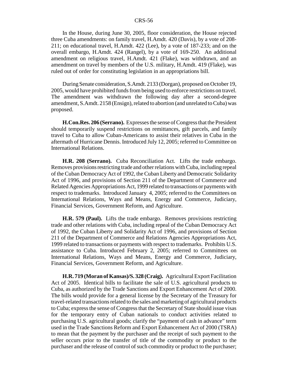In the House, during June 30, 2005, floor consideration, the House rejected three Cuba amendments: on family travel, H.Amdt. 420 (Davis), by a vote of 208- 211; on educational travel, H.Amdt. 422 (Lee), by a vote of 187-233; and on the overall embargo, H.Amdt. 424 (Rangel), by a vote of 169-250. An additional amendment on religious travel, H.Amdt. 421 (Flake), was withdrawn, and an amendment on travel by members of the U.S. military, H.Amdt. 419 (Flake), was ruled out of order for constituting legislation in an appropriations bill.

During Senate consideration, S.Amdt. 2133 (Dorgan), proposed on October 19, 2005, would have prohibited funds from being used to enforce restrictions on travel. The amendment was withdrawn the following day after a second-degree amendment, S.Amdt. 2158 (Ensign), related to abortion (and unrelated to Cuba) was proposed.

**H.Con.Res. 206 (Serrano).** Expresses the sense of Congress that the President should temporarily suspend restrictions on remittances, gift parcels, and family travel to Cuba to allow Cuban-Americans to assist their relatives in Cuba in the aftermath of Hurricane Dennis. Introduced July 12, 2005; referred to Committee on International Relations.

**H.R. 208 (Serrano).** Cuba Reconciliation Act. Lifts the trade embargo. Removes provisions restricting trade and other relations with Cuba, including repeal of the Cuban Democracy Act of 1992, the Cuban Liberty and Democratic Solidarity Act of 1996, and provisions of Section 211 of the Department of Commerce and Related Agencies Appropriations Act, 1999 related to transactions or payments with respect to trademarks. Introduced January 4, 2005; referred to the Committees on International Relations, Ways and Means, Energy and Commerce, Judiciary, Financial Services, Government Reform, and Agriculture.

**H.R. 579 (Paul).** Lifts the trade embargo. Removes provisions restricting trade and other relations with Cuba, including repeal of the Cuban Democracy Act of 1992, the Cuban Liberty and Solidarity Act of 1996, and provisions of Section 211 of the Department of Commerce and Relations Agencies Appropriations Act, 1999 related to transactions or payments with respect to trademarks. Prohibits U.S. assistance to Cuba. Introduced February 2, 2005; referred to Committees on International Relations, Ways and Means, Energy and Commerce, Judiciary, Financial Services, Government Reform, and Agriculture.

**H.R. 719 (Moran of Kansas)/S. 328 (Craig).** Agricultural Export Facilitation Act of 2005. Identical bills to facilitate the sale of U.S. agricultural products to Cuba, as authorized by the Trade Sanctions and Export Enhancement Act of 2000. The bills would provide for a general license by the Secretary of the Treasury for travel-related transactions related to the sales and marketing of agricultural products to Cuba; express the sense of Congress that the Secretary of State should issue visas for the temporary entry of Cuban nationals to conduct activities related to purchasing U.S. agricultural goods; clarify the "payment of cash in advance" term used in the Trade Sanctions Reform and Export Enhancement Act of 2000 (TSRA) to mean that the payment by the purchaser and the receipt of such payment to the seller occurs prior to the transfer of title of the commodity or product to the purchaser and the release of control of such commodity or product to the purchaser;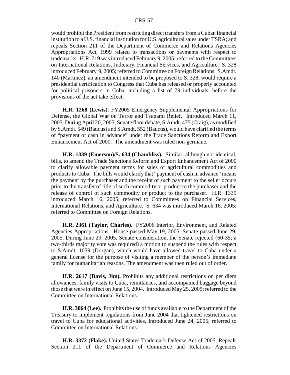would prohibit the President from restricting direct transfers from a Cuban financial institution to a U.S. financial institution for U.S. agricultural sales under TSRA; and repeals Section 211 of the Department of Commerce and Relations Agencies Appropriations Act, 1999 related to transactions or payments with respect to trademarks. H.R. 719 was introduced February 9, 2005; referred to the Committees on International Relations, Judiciary, Financial Services, and Agriculture. S. 328 introduced February 9, 2005; referred to Committee on Foreign Relations. S.Amdt. 140 (Martinez), an amendment intended to be proposed to S. 328, would require a presidential certification to Congress that Cuba has released or properly accounted for political prisoners in Cuba, including a list of 79 individuals, before the provisions of the act take effect.

**H.R. 1268 (Lewis).** FY2005 Emergency Supplemental Appropriations for Defense, the Global War on Terror and Tsunami Relief. Introduced March 11, 2005. During April 20, 2005, Senate floor debate, S.Amdt. 475 (Craig), as modified by S.Amdt. 549 (Baucus) and S.Amdt. 552 (Baucus), would have clarified the terms of "payment of cash in advance" under the Trade Sanctions Reform and Export Enhancement Act of 2000. The amendment was ruled non-germane.

**H.R. 1339 (Emerson)/S. 634 (Chambliss).** Similar, although not identical, bills, to amend the Trade Sanctions Reform and Export Enhancement Act of 2000 to clarify allowable payment terms for sales of agricultural commodities and products to Cuba. The bills would clarify that "payment of cash in advance" means the payment by the purchaser and the receipt of such payment to the seller occurs prior to the transfer of title of such commodity or product to the purchaser and the release of control of such commodity or product to the purchaser. H.R. 1339 introduced March 16, 2005; referred to Committees on Financial Services, International Relations, and Agriculture. S. 634 was introduced March 16, 2005; referred to Committee on Foreign Relations.

**H.R. 2361 (Taylor, Charles).** FY2006 Interior, Environment, and Related Agencies Appropriations. House passed May 19, 2005. Senate passed June 29, 2005. During June 29, 2005, Senate consideration, the Senate rejected (60-35; a two-thirds majority vote was required) a motion to suspend the rules with respect to S.Amdt. 1059 (Dorgan), which would have allowed travel to Cuba under a general license for the purpose of visiting a member of the person's immediate family for humanitarian reasons. The amendment was then ruled out of order.

**H.R. 2617 (Davis, Jim).** Prohibits any additional restrictions on per diem allowances, family visits to Cuba, remittances, and accompanied baggage beyond those that were in effect on June 15, 2004. Introduced May 25, 2005; referred to the Committee on International Relations.

**H.R. 3064 (Lee).** Prohibits the use of funds available to the Department of the Treasury to implement regulations from June 2004 that tightened restrictions on travel to Cuba for educational activities. Introduced June 24, 2005; referred to Committee on International Relations.

**H.R. 3372 (Flake).** United States Trademark Defense Act of 2005. Repeals Section 211 of the Department of Commerce and Relations Agencies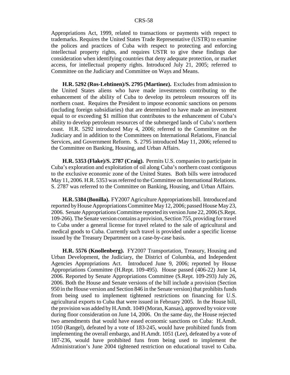Appropriations Act, 1999, related to transactions or payments with respect to trademarks. Requires the United States Trade Representative (USTR) to examine the polices and practices of Cuba with respect to protecting and enforcing intellectual property rights, and requires USTR to give these findings due consideration when identifying countries that deny adequate protection, or market access, for intellectual property rights. Introduced July 21, 2005; referred to Committee on the Judiciary and Committee on Ways and Means.

**H.R. 5292 (Ros-Lehtinen)/S. 2795 (Martinez).** Excludes from admission to the United States aliens who have made investments contributing to the enhancement of the ability of Cuba to develop its petroleum resources off its northern coast. Requires the President to impose economic sanctions on persons (including foreign subsidiaries) that are determined to have made an investment equal to or exceeding \$1 million that contributes to the enhancement of Cuba's ability to develop petroleum resources of the submerged lands of Cuba's northern coast. H.R. 5292 introduced May 4, 2006; referred to the Committee on the Judiciary and in addition to the Committees on International Relations, Financial Services, and Government Reform. S. 2795 introduced May 11, 2006; referred to the Committee on Banking, Housing, and Urban Affairs.

**H.R. 5353 (Flake)/S. 2787 (Craig).** Permits U.S. companies to participate in Cuba's exploration and exploitation of oil along Cuba's northern coast contiguous to the exclusive economic zone of the United States. Both bills were introduced May 11, 2006. H.R. 5353 was referred to the Committee on International Relations. S. 2787 was referred to the Committee on Banking, Housing, and Urban Affairs.

**H.R. 5384 (Bonilla).** FY2007 Agriculture Appropriations bill. Introduced and reported by House Appropriations Committee May 12, 2006; passed House May 23, 2006. Senate Appropriations Committee reported its version June 22, 2006 (S.Rept. 109-266). The Senate version contains a provision, Section 755, providing for travel to Cuba under a general license for travel related to the sale of agricultural and medical goods to Cuba. Currently such travel is provided under a specific license issued by the Treasury Department on a case-by-case basis.

**H.R. 5576 (Knollenberg).** FY2007 Transportation, Treasury, Housing and Urban Development, the Judiciary, the District of Columbia, and Independent Agencies Appropriations Act. Introduced June 9, 2006; reported by House Appropriations Committee (H.Rept. 109-495). House passed (406-22) June 14, 2006. Reported by Senate Appropriations Committee (S.Rept. 109-293) July 26, 2006. Both the House and Senate versions of the bill include a provision (Section 950 in the House version and Section 846 in the Senate version) that prohibits funds from being used to implement tightened restrictions on financing for U.S. agricultural exports to Cuba that were issued in February 2005. In the House bill, the provision was added by H.Amdt. 1049 (Moran, Kansas), approved by voice vote during floor consideration on June 14, 2006. On the same day, the House rejected two amendments that would have eased economic sanctions on Cuba: H.Amdt. 1050 (Rangel), defeated by a vote of 183-245, would have prohibited funds from implementing the overall embargo, and H.Amdt. 1051 (Lee), defeated by a vote of 187-236, would have prohibited funs from being used to implement the Administration's June 2004 tightened restriction on educational travel to Cuba.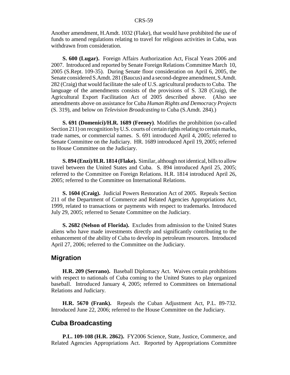Another amendment, H.Amdt. 1032 (Flake), that would have prohibited the use of funds to amend regulations relating to travel for religious activities in Cuba, was withdrawn from consideration.

**S. 600 (Lugar).** Foreign Affairs Authorization Act, Fiscal Years 2006 and 2007. Introduced and reported by Senate Foreign Relations Committee March 10, 2005 (S.Rept. 109-35). During Senate floor consideration on April 6, 2005, the Senate considered S.Amdt. 281 (Baucus) and a second-degree amendment, S.Amdt. 282 (Craig) that would facilitate the sale of U.S. agricultural products to Cuba. The language of the amendments consists of the provisions of S. 328 (Craig), the Agricultural Export Facilitation Act of 2005 described above. (Also see amendments above on assistance for Cuba *Human Rights and Democracy Projects* (S. 319), and below on *Television Broadcasting* to Cuba (S.Amdt. 284).)

**S. 691 (Domenici)/H.R. 1689 (Feeney)**. Modifies the prohibition (so-called Section 211) on recognition by U.S. courts of certain rights relating to certain marks, trade names, or commercial names. S. 691 introduced April 4, 2005; referred to Senate Committee on the Judiciary. HR. 1689 introduced April 19, 2005; referred to House Committee on the Judiciary.

**S. 894 (Enzi)/H.R. 1814 (Flake).** Similar, although not identical, bills to allow travel between the United States and Cuba. S. 894 introduced April 25, 2005; referred to the Committee on Foreign Relations. H.R. 1814 introduced April 26, 2005; referred to the Committee on International Relations.

**S. 1604 (Craig).** Judicial Powers Restoration Act of 2005. Repeals Section 211 of the Department of Commerce and Related Agencies Appropriations Act, 1999, related to transactions or payments with respect to trademarks. Introduced July 29, 2005; referred to Senate Committee on the Judiciary.

**S. 2682 (Nelson of Florida).** Excludes from admission to the United States aliens who have made investments directly and significantly contributing to the enhancement of the ability of Cuba to develop its petroleum resources. Introduced April 27, 2006; referred to the Committee on the Judiciary.

## **Migration**

**H.R. 209 (Serrano).** Baseball Diplomacy Act. Waives certain prohibitions with respect to nationals of Cuba coming to the United States to play organized baseball. Introduced January 4, 2005; referred to Committees on International Relations and Judiciary.

**H.R. 5670 (Frank).** Repeals the Cuban Adjustment Act, P.L. 89-732. Introduced June 22, 2006; referred to the House Committee on the Judiciary.

## **Cuba Broadcasting**

**P.L. 109-108 (H.R. 2862).** FY2006 Science, State, Justice, Commerce, and Related Agencies Appropriations Act. Reported by Appropriations Committee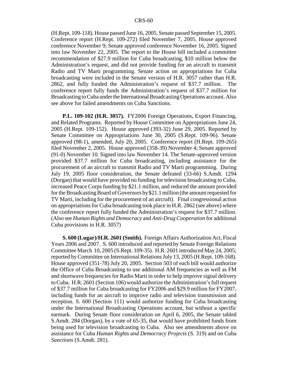(H.Rept. 109-118). House passed June 16, 2005. Senate passed September 15, 2005. Conference report (H.Rept. 109-272) filed November 7, 2005. House approved conference November 9; Senate approved conference November 16, 2005. Signed into law November 22, 2005. The report to the House bill included a committee recommendation of \$27.9 million for Cuba broadcasting, \$10 million below the Administration's request, and did not provide funding for an aircraft to transmit Radio and TV Marti programming. Senate action on appropriations for Cuba broadcasting were included in the Senate version of H.R. 3057 rather than H.R. 2862, and fully funded the Administration's request of \$37.7 million. The conference report fully funds the Administration's request of \$37.7 million for Broadcasting to Cuba under the International Broadcasting Operations account. Also see above for failed amendments on Cuba Sanctions.

**P.L. 109-102 (H.R. 3057).** FY2006 Foreign Operations, Export Financing, and Related Programs. Reported by House Committee on Appropriations June 24, 2005 (H.Rept. 109-152). House approved (393-32) June 29, 2005. Reported by Senate Committee on Appropriations June 30, 2005 (S.Rept. 109-96). Senate approved (98-1), amended, July 20, 2005. Conference report (H.Rept. 109-265) filed November 2, 2005. House approved (358-39) November 4; Senate approved (91-0) November 10. Signed into law November 14. The Senate-approved version provided \$37.7 million for Cuba broadcasting, including assistance for the procurement of an aircraft to transmit Radio and TV Marti programming. During July 19, 2005 floor consideration, the Senate defeated (33-66) S.Amdt. 1294 (Dorgan) that would have provided no funding for television broadcasting to Cuba, increased Peace Corps funding by \$21.1 million, and reduced the amount provided for the Broadcasting Board of Governors by \$21.1 million (the amount requested for TV Marti, including for the procurement of an aircraft). Final congressional action on appropriations for Cuba broadcasting took place in H.R. 2862 (see above) where the conference report fully funded the Administration's request for \$37.7 million. (Also see *Human Rights and Democracy* and *Anti-Drug Cooperation* for additional Cuba provisions in H.R. 3057)

**S. 600 (Lugar)/H.R. 2601 (Smith).** Foreign Affairs Authorization Act, Fiscal Years 2006 and 2007. S. 600 introduced and reported by Senate Foreign Relations Committee March 10, 2005 (S.Rept. 109-35). H.R. 2601 introduced May 24, 2005; reported by Committee on International Relations July 13, 2005 (H.Rept. 109-168). House approved (351-78) July 20, 2005. Section 503 of each bill would authorize the Office of Cuba Broadcasting to use additional AM frequencies as well as FM and shortwave frequencies for Radio Marti in order to help improve signal delivery to Cuba. H.R. 2601 (Section 106) would authorize the Administration's full request of \$37.7 million for Cuba broadcasting for FY2006 and \$29.9 million for FY2007, including funds for an aircraft to improve radio and television transmission and reception. S. 600 (Section 111) would authorize funding for Cuba broadcasting under the International Broadcasting Operations account, but without a specific earmark. During Senate floor consideration on April 6, 2005, the Senate tabled S.Amdt. 284 (Dorgan), by a vote of 65-35, that would have prohibited funds from being used for television broadcasting to Cuba. Also see amendments above on assistance for Cuba *Human Rights and Democracy Projects* (S. 319) and on Cuba *Sanctions* (S.Amdt. 281).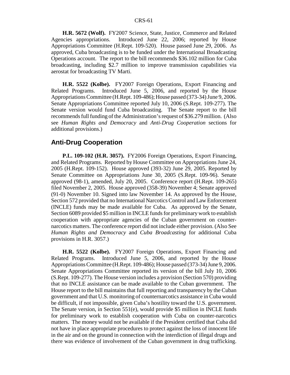**H.R. 5672 (Wolf).** FY2007 Science, State, Justice, Commerce and Related Agencies appropriations. Introduced June 22, 2006; reported by House Appropriations Committee (H.Rept. 109-520). House passed June 29, 2006. As approved, Cuba broadcasting is to be funded under the International Broadcasting Operations account. The report to the bill recommends \$36.102 million for Cuba broadcasting, including \$2.7 million to improve transmission capabilities via aerostat for broadcasting TV Marti.

**H.R. 5522 (Kolbe).** FY2007 Foreign Operations, Export Financing and Related Programs. Introduced June 5, 2006, and reported by the House Appropriations Committee (H.Rept. 109-486); House passed (373-34) June 9, 2006. Senate Appropriations Committee reported July 10, 2006 (S.Rept. 109-277). The Senate version would fund Cuba broadcasting. The Senate report to the bill recommends full funding of the Administration's request of \$36.279 million. (Also see *Human Rights and Democracy* and *Anti-Drug Cooperation* sections for additional provisions.)

#### **Anti-Drug Cooperation**

**P.L. 109-102 (H.R. 3057).** FY2006 Foreign Operations, Export Financing, and Related Programs. Reported by House Committee on Appropriations June 24, 2005 (H.Rept. 109-152). House approved (393-32) June 29, 2005. Reported by Senate Committee on Appropriations June 30, 2005 (S.Rept. 109-96). Senate approved (98-1), amended, July 20, 2005. Conference report (H.Rept. 109-265) filed November 2, 2005. House approved (358-39) November 4; Senate approved (91-0) November 10. Signed into law November 14. As approved by the House, Section 572 provided that no International Narcotics Control and Law Enforcement (INCLE) funds may be made available for Cuba. As approved by the Senate, Section 6089 provided \$5 million in INCLE funds for preliminary work to establish cooperation with appropriate agencies of the Cuban government on counternarcotics matters. The conference report did not include either provision. (Also See *Human Rights and Democracy* and *Cuba Broadcasting* for additional Cuba provisions in H.R. 3057.)

**H.R. 5522 (Kolbe).** FY2007 Foreign Operations, Export Financing and Related Programs. Introduced June 5, 2006, and reported by the House Appropriations Committee (H.Rept. 109-486); House passed (373-34) June 9, 2006. Senate Appropriations Committee reported its version of the bill July 10, 2006 (S.Rept. 109-277). The House version includes a provision (Section 570) providing that no INCLE assistance can be made available to the Cuban government. The House report to the bill maintains that full reporting and transparency by the Cuban government and that U.S. monitoring of counternarcotics assistance in Cuba would be difficult, if not impossible, given Cuba's hostility toward the U.S. government. The Senate version, in Section 551(e), would provide \$5 million in INCLE funds for preliminary work to establish cooperation with Cuba on counter-narcotics matters. The money would not be available if the President certified that Cuba did not have in place appropriate procedures to protect against the loss of innocent life in the air and on the ground in connection with the interdiction of illegal drugs and there was evidence of involvement of the Cuban government in drug trafficking.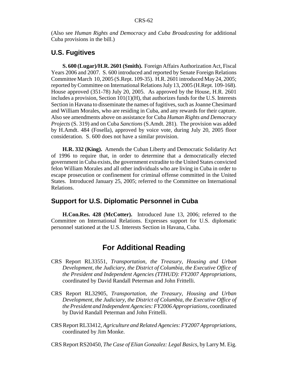(Also see *Human Rights and Democracy* and *Cuba Broadcasting* for additional Cuba provisions in the bill.)

## **U.S. Fugitives**

**S. 600 (Lugar)/H.R. 2601 (Smith).** Foreign Affairs Authorization Act, Fiscal Years 2006 and 2007. S. 600 introduced and reported by Senate Foreign Relations Committee March 10, 2005 (S.Rept. 109-35). H.R. 2601 introduced May 24, 2005; reported by Committee on International Relations July 13, 2005 (H.Rept. 109-168). House approved (351-78) July 20, 2005. As approved by the House, H.R. 2601 includes a provision, Section 101(1)(H), that authorizes funds for the U.S. Interests Section in Havana to disseminate the names of fugitives, such as Joanne Chesimard and William Morales, who are residing in Cuba, and any rewards for their capture. Also see amendments above on assistance for Cuba *Human Rights and Democracy Projects* (S. 319) and on Cuba *Sanctions* (S.Amdt. 281). The provision was added by H.Amdt. 484 (Fosella), approved by voice vote, during July 20, 2005 floor consideration. S. 600 does not have a similar provision.

**H.R. 332 (King).** Amends the Cuban Liberty and Democratic Solidarity Act of 1996 to require that, in order to determine that a democratically elected government in Cuba exists, the government extradite to the United States convicted felon William Morales and all other individuals who are living in Cuba in order to escape prosecution or confinement for criminal offense committed in the United States. Introduced January 25, 2005; referred to the Committee on International Relations.

## **Support for U.S. Diplomatic Personnel in Cuba**

**H.Con.Res. 428 (McCotter).** Introduced June 13, 2006; referred to the Committee on International Relations. Expresses support for U.S. diplomatic personnel stationed at the U.S. Interests Section in Havana, Cuba.

## **For Additional Reading**

- CRS Report RL33551, *Transportation, the Treasury, Housing and Urban Development, the Judiciary, the District of Columbia, the Executive Office of the President and Independent Agencies (TTHUD): FY2007 Appropriations,* coordinated by David Randall Peterman and John Frittelli.
- CRS Report RL32905, *Transportation, the Treasury, Housing and Urban Development, the Judiciary, the District of Columbia, the Executive Office of the President and Independent Agencies: FY2006 Appropriations,* coordinated by David Randall Peterman and John Frittelli.
- CRS Report RL33412, *Agriculture and Related Agencies: FY2007 Appropriations,* coordinated by Jim Monke.

CRS Report RS20450, *The Case of Elian Gonzalez: Legal Basics,* by Larry M. Eig.